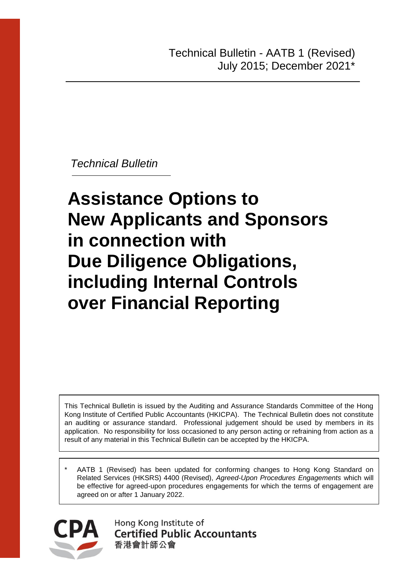*Technical Bulletin*

# **Assistance Options to New Applicants and Sponsors in connection with Due Diligence Obligations, including Internal Controls over Financial Reporting**

This Technical Bulletin is issued by the Auditing and Assurance Standards Committee of the Hong Kong Institute of Certified Public Accountants (HKICPA). The Technical Bulletin does not constitute an auditing or assurance standard. Professional judgement should be used by members in its application. No responsibility for loss occasioned to any person acting or refraining from action as a result of any material in this Technical Bulletin can be accepted by the HKICPA.

AATB 1 (Revised) has been updated for conforming changes to Hong Kong Standard on Related Services (HKSRS) 4400 (Revised), *Agreed-Upon Procedures Engagements* which will be effective for agreed-upon procedures engagements for which the terms of engagement are agreed on or after 1 January 2022.



Hong Kong Institute of **Certified Public Accountants** 香港會計師公會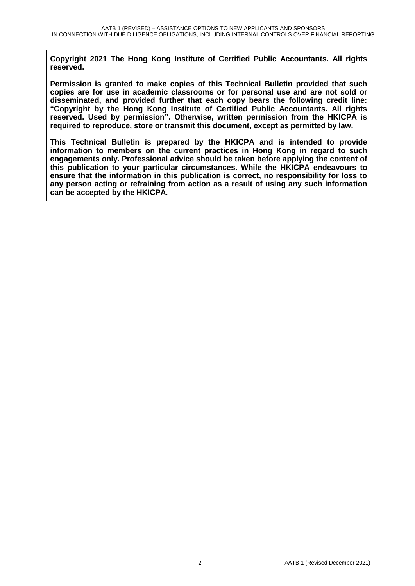**Copyright 2021 The Hong Kong Institute of Certified Public Accountants. All rights reserved.** 

**Permission is granted to make copies of this Technical Bulletin provided that such copies are for use in academic classrooms or for personal use and are not sold or disseminated, and provided further that each copy bears the following credit line: "Copyright by the Hong Kong Institute of Certified Public Accountants. All rights reserved. Used by permission". Otherwise, written permission from the HKICPA is required to reproduce, store or transmit this document, except as permitted by law.** 

**This Technical Bulletin is prepared by the HKICPA and is intended to provide information to members on the current practices in Hong Kong in regard to such engagements only. Professional advice should be taken before applying the content of this publication to your particular circumstances. While the HKICPA endeavours to ensure that the information in this publication is correct, no responsibility for loss to any person acting or refraining from action as a result of using any such information can be accepted by the HKICPA.**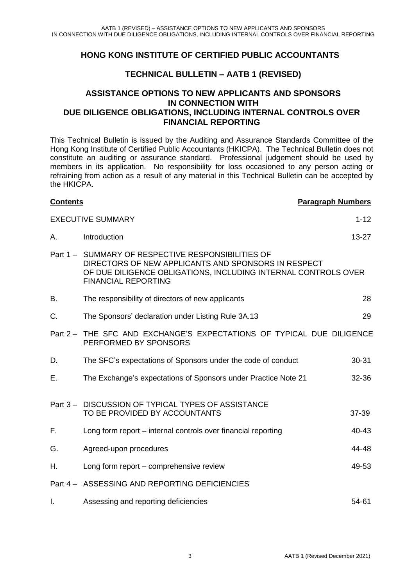#### **HONG KONG INSTITUTE OF CERTIFIED PUBLIC ACCOUNTANTS**

#### **TECHNICAL BULLETIN – AATB 1 (REVISED)**

#### **ASSISTANCE OPTIONS TO NEW APPLICANTS AND SPONSORS IN CONNECTION WITH DUE DILIGENCE OBLIGATIONS, INCLUDING INTERNAL CONTROLS OVER FINANCIAL REPORTING**

This Technical Bulletin is issued by the Auditing and Assurance Standards Committee of the Hong Kong Institute of Certified Public Accountants (HKICPA). The Technical Bulletin does not constitute an auditing or assurance standard. Professional judgement should be used by members in its application. No responsibility for loss occasioned to any person acting or refraining from action as a result of any material in this Technical Bulletin can be accepted by the HKICPA.

## **Contents Paragraph Numbers Paragraph Numbers** EXECUTIVE SUMMARY 1.12 A. Introduction 23-27 Part 1 – SUMMARY OF RESPECTIVE RESPONSIBILITIES OF DIRECTORS OF NEW APPLICANTS AND SPONSORS IN RESPECT OF DUE DILIGENCE OBLIGATIONS, INCLUDING INTERNAL CONTROLS OVER FINANCIAL REPORTING B. The responsibility of directors of new applicants 28 C. The Sponsors' declaration under Listing Rule 3A.13 29 Part 2 – THE SFC AND EXCHANGE'S EXPECTATIONS OF TYPICAL DUE DILIGENCE PERFORMED BY SPONSORS D. The SFC's expectations of Sponsors under the code of conduct 30-31 E. The Exchange's expectations of Sponsors under Practice Note 21 32-36 Part 3 – DISCUSSION OF TYPICAL TYPES OF ASSISTANCE TO BE PROVIDED BY ACCOUNTANTS 37-39 F. Long form report – internal controls over financial reporting 40-43 G. Agreed-upon procedures 44-48 H. Long form report – comprehensive review 49-53 Part 4 – ASSESSING AND REPORTING DEFICIENCIES I. Assessing and reporting deficiencies 54-61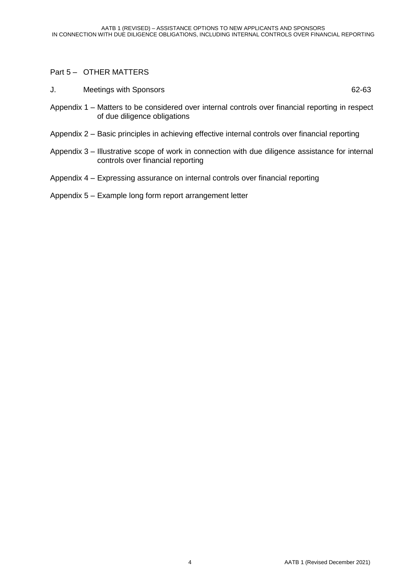#### Part 5 – OTHER MATTERS

J. Meetings with Sponsors 62-63

- Appendix 1 Matters to be considered over internal controls over financial reporting in respect of due diligence obligations
- Appendix 2 Basic principles in achieving effective internal controls over financial reporting
- Appendix 3 Illustrative scope of work in connection with due diligence assistance for internal controls over financial reporting
- Appendix 4 Expressing assurance on internal controls over financial reporting
- Appendix 5 Example long form report arrangement letter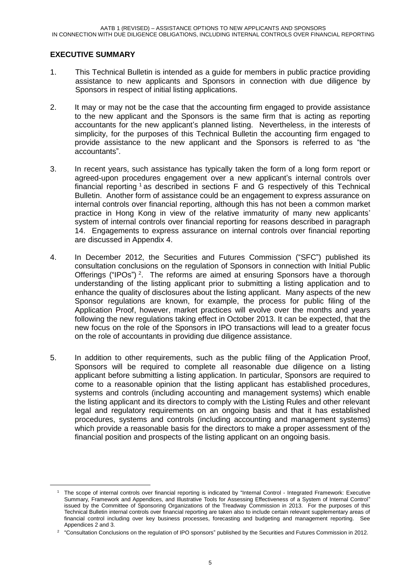#### **EXECUTIVE SUMMARY**

1

- 1. This Technical Bulletin is intended as a guide for members in public practice providing assistance to new applicants and Sponsors in connection with due diligence by Sponsors in respect of initial listing applications.
- 2. It may or may not be the case that the accounting firm engaged to provide assistance to the new applicant and the Sponsors is the same firm that is acting as reporting accountants for the new applicant's planned listing. Nevertheless, in the interests of simplicity, for the purposes of this Technical Bulletin the accounting firm engaged to provide assistance to the new applicant and the Sponsors is referred to as "the accountants".
- 3. In recent years, such assistance has typically taken the form of a long form report or agreed-upon procedures engagement over a new applicant's internal controls over financial reporting  $1$  as described in sections F and G respectively of this Technical Bulletin. Another form of assistance could be an engagement to express assurance on internal controls over financial reporting, although this has not been a common market practice in Hong Kong in view of the relative immaturity of many new applicants' system of internal controls over financial reporting for reasons described in paragraph 14. Engagements to express assurance on internal controls over financial reporting are discussed in Appendix 4.
- 4. In December 2012, the Securities and Futures Commission ("SFC") published its consultation conclusions on the regulation of Sponsors in connection with Initial Public Offerings ("IPOs")<sup>2</sup>. The reforms are aimed at ensuring Sponsors have a thorough understanding of the listing applicant prior to submitting a listing application and to enhance the quality of disclosures about the listing applicant. Many aspects of the new Sponsor regulations are known, for example, the process for public filing of the Application Proof, however, market practices will evolve over the months and years following the new regulations taking effect in October 2013. It can be expected, that the new focus on the role of the Sponsors in IPO transactions will lead to a greater focus on the role of accountants in providing due diligence assistance.
- 5. In addition to other requirements, such as the public filing of the Application Proof, Sponsors will be required to complete all reasonable due diligence on a listing applicant before submitting a listing application. In particular, Sponsors are required to come to a reasonable opinion that the listing applicant has established procedures, systems and controls (including accounting and management systems) which enable the listing applicant and its directors to comply with the Listing Rules and other relevant legal and regulatory requirements on an ongoing basis and that it has established procedures, systems and controls (including accounting and management systems) which provide a reasonable basis for the directors to make a proper assessment of the financial position and prospects of the listing applicant on an ongoing basis.

<sup>1</sup> The scope of internal controls over financial reporting is indicated by "Internal Control - Integrated Framework: Executive Summary, Framework and Appendices, and Illustrative Tools for Assessing Effectiveness of a System of Internal Control" issued by the Committee of Sponsoring Organizations of the Treadway Commission in 2013. For the purposes of this Technical Bulletin internal controls over financial reporting are taken also to include certain relevant supplementary areas of financial control including over key business processes, forecasting and budgeting and management reporting. See Appendices 2 and 3.

<sup>&</sup>lt;sup>2</sup> "Consultation Conclusions on the regulation of IPO sponsors" published by the Securities and Futures Commission in 2012.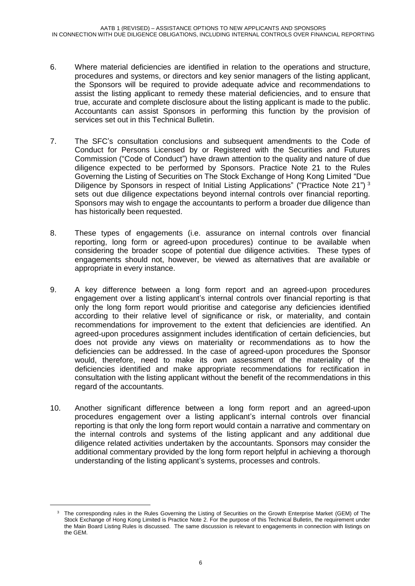- 6. Where material deficiencies are identified in relation to the operations and structure, procedures and systems, or directors and key senior managers of the listing applicant, the Sponsors will be required to provide adequate advice and recommendations to assist the listing applicant to remedy these material deficiencies, and to ensure that true, accurate and complete disclosure about the listing applicant is made to the public. Accountants can assist Sponsors in performing this function by the provision of services set out in this Technical Bulletin.
- 7. The SFC's consultation conclusions and subsequent amendments to the Code of Conduct for Persons Licensed by or Registered with the Securities and Futures Commission ("Code of Conduct") have drawn attention to the quality and nature of due diligence expected to be performed by Sponsors. Practice Note 21 to the Rules Governing the Listing of Securities on The Stock Exchange of Hong Kong Limited "Due Diligence by Sponsors in respect of Initial Listing Applications" ("Practice Note 21")<sup>3</sup> sets out due diligence expectations beyond internal controls over financial reporting. Sponsors may wish to engage the accountants to perform a broader due diligence than has historically been requested.
- 8. These types of engagements (i.e. assurance on internal controls over financial reporting, long form or agreed-upon procedures) continue to be available when considering the broader scope of potential due diligence activities. These types of engagements should not, however, be viewed as alternatives that are available or appropriate in every instance.
- 9. A key difference between a long form report and an agreed-upon procedures engagement over a listing applicant's internal controls over financial reporting is that only the long form report would prioritise and categorise any deficiencies identified according to their relative level of significance or risk, or materiality, and contain recommendations for improvement to the extent that deficiencies are identified. An agreed-upon procedures assignment includes identification of certain deficiencies, but does not provide any views on materiality or recommendations as to how the deficiencies can be addressed. In the case of agreed-upon procedures the Sponsor would, therefore, need to make its own assessment of the materiality of the deficiencies identified and make appropriate recommendations for rectification in consultation with the listing applicant without the benefit of the recommendations in this regard of the accountants.
- 10. Another significant difference between a long form report and an agreed-upon procedures engagement over a listing applicant's internal controls over financial reporting is that only the long form report would contain a narrative and commentary on the internal controls and systems of the listing applicant and any additional due diligence related activities undertaken by the accountants. Sponsors may consider the additional commentary provided by the long form report helpful in achieving a thorough understanding of the listing applicant's systems, processes and controls.

-

<sup>3</sup> The corresponding rules in the Rules Governing the Listing of Securities on the Growth Enterprise Market (GEM) of The Stock Exchange of Hong Kong Limited is Practice Note 2. For the purpose of this Technical Bulletin, the requirement under the Main Board Listing Rules is discussed. The same discussion is relevant to engagements in connection with listings on the GEM.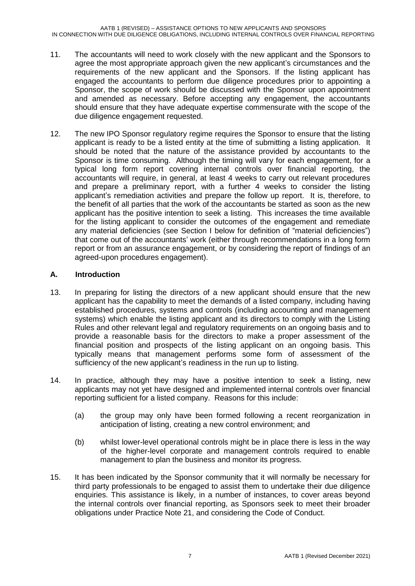- 11. The accountants will need to work closely with the new applicant and the Sponsors to agree the most appropriate approach given the new applicant's circumstances and the requirements of the new applicant and the Sponsors. If the listing applicant has engaged the accountants to perform due diligence procedures prior to appointing a Sponsor, the scope of work should be discussed with the Sponsor upon appointment and amended as necessary. Before accepting any engagement, the accountants should ensure that they have adequate expertise commensurate with the scope of the due diligence engagement requested.
- 12. The new IPO Sponsor regulatory regime requires the Sponsor to ensure that the listing applicant is ready to be a listed entity at the time of submitting a listing application. It should be noted that the nature of the assistance provided by accountants to the Sponsor is time consuming. Although the timing will vary for each engagement, for a typical long form report covering internal controls over financial reporting, the accountants will require, in general, at least 4 weeks to carry out relevant procedures and prepare a preliminary report, with a further 4 weeks to consider the listing applicant's remediation activities and prepare the follow up report. It is, therefore, to the benefit of all parties that the work of the accountants be started as soon as the new applicant has the positive intention to seek a listing. This increases the time available for the listing applicant to consider the outcomes of the engagement and remediate any material deficiencies (see Section I below for definition of "material deficiencies") that come out of the accountants' work (either through recommendations in a long form report or from an assurance engagement, or by considering the report of findings of an agreed-upon procedures engagement).

#### **A. Introduction**

- 13. In preparing for listing the directors of a new applicant should ensure that the new applicant has the capability to meet the demands of a listed company, including having established procedures, systems and controls (including accounting and management systems) which enable the listing applicant and its directors to comply with the Listing Rules and other relevant legal and regulatory requirements on an ongoing basis and to provide a reasonable basis for the directors to make a proper assessment of the financial position and prospects of the listing applicant on an ongoing basis. This typically means that management performs some form of assessment of the sufficiency of the new applicant's readiness in the run up to listing.
- 14. In practice, although they may have a positive intention to seek a listing, new applicants may not yet have designed and implemented internal controls over financial reporting sufficient for a listed company. Reasons for this include:
	- (a) the group may only have been formed following a recent reorganization in anticipation of listing, creating a new control environment; and
	- (b) whilst lower-level operational controls might be in place there is less in the way of the higher-level corporate and management controls required to enable management to plan the business and monitor its progress.
- 15. It has been indicated by the Sponsor community that it will normally be necessary for third party professionals to be engaged to assist them to undertake their due diligence enquiries. This assistance is likely, in a number of instances, to cover areas beyond the internal controls over financial reporting, as Sponsors seek to meet their broader obligations under Practice Note 21, and considering the Code of Conduct.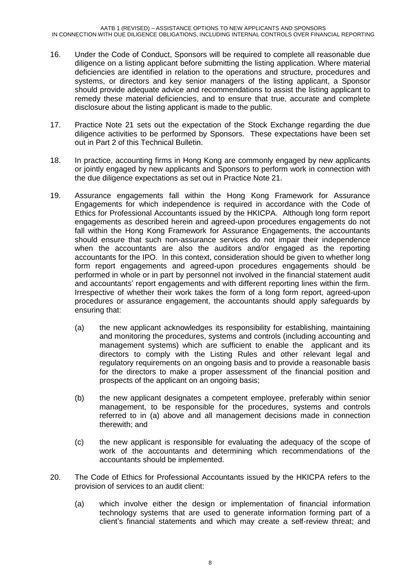- 16. Under the Code of Conduct, Sponsors will be required to complete all reasonable due diligence on a listing applicant before submitting the listing application. Where material deficiencies are identified in relation to the operations and structure, procedures and systems, or directors and key senior managers of the listing applicant, a Sponsor should provide adequate advice and recommendations to assist the listing applicant to remedy these material deficiencies, and to ensure that true, accurate and complete disclosure about the listing applicant is made to the public.
- 17. Practice Note 21 sets out the expectation of the Stock Exchange regarding the due diligence activities to be performed by Sponsors. These expectations have been set out in Part 2 of this Technical Bulletin.
- 18. In practice, accounting firms in Hong Kong are commonly engaged by new applicants or jointly engaged by new applicants and Sponsors to perform work in connection with the due diligence expectations as set out in Practice Note 21.
- 19. Assurance engagements fall within the Hong Kong Framework for Assurance Engagements for which independence is required in accordance with the Code of Ethics for Professional Accountants issued by the HKICPA. Although long form report engagements as described herein and agreed-upon procedures engagements do not fall within the Hong Kong Framework for Assurance Engagements, the accountants should ensure that such non-assurance services do not impair their independence when the accountants are also the auditors and/or engaged as the reporting accountants for the IPO. In this context, consideration should be given to whether long form report engagements and agreed-upon procedures engagements should be performed in whole or in part by personnel not involved in the financial statement audit and accountants' report engagements and with different reporting lines within the firm. Irrespective of whether their work takes the form of a long form report, agreed-upon procedures or assurance engagement, the accountants should apply safeguards by ensuring that:
	- (a) the new applicant acknowledges its responsibility for establishing, maintaining and monitoring the procedures, systems and controls (including accounting and management systems) which are sufficient to enable the applicant and its directors to comply with the Listing Rules and other relevant legal and regulatory requirements on an ongoing basis and to provide a reasonable basis for the directors to make a proper assessment of the financial position and prospects of the applicant on an ongoing basis;
	- (b) the new applicant designates a competent employee, preferably within senior management, to be responsible for the procedures, systems and controls referred to in (a) above and all management decisions made in connection therewith; and
	- (c) the new applicant is responsible for evaluating the adequacy of the scope of work of the accountants and determining which recommendations of the accountants should be implemented.
- 20. The Code of Ethics for Professional Accountants issued by the HKICPA refers to the provision of services to an audit client:
	- (a) which involve either the design or implementation of financial information technology systems that are used to generate information forming part of a client's financial statements and which may create a self-review threat; and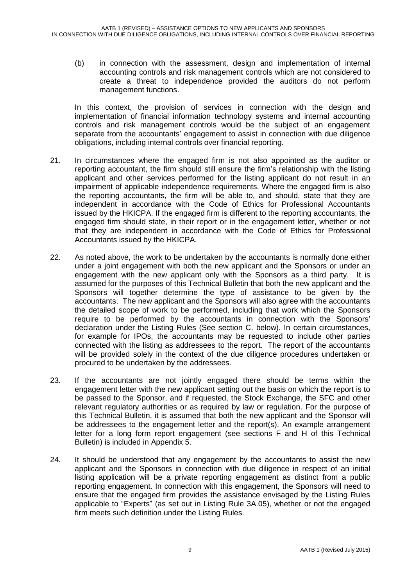(b) in connection with the assessment, design and implementation of internal accounting controls and risk management controls which are not considered to create a threat to independence provided the auditors do not perform management functions.

In this context, the provision of services in connection with the design and implementation of financial information technology systems and internal accounting controls and risk management controls would be the subject of an engagement separate from the accountants' engagement to assist in connection with due diligence obligations, including internal controls over financial reporting.

- 21. In circumstances where the engaged firm is not also appointed as the auditor or reporting accountant, the firm should still ensure the firm's relationship with the listing applicant and other services performed for the listing applicant do not result in an impairment of applicable independence requirements. Where the engaged firm is also the reporting accountants, the firm will be able to, and should, state that they are independent in accordance with the Code of Ethics for Professional Accountants issued by the HKICPA. If the engaged firm is different to the reporting accountants, the engaged firm should state, in their report or in the engagement letter, whether or not that they are independent in accordance with the Code of Ethics for Professional Accountants issued by the HKICPA.
- 22. As noted above, the work to be undertaken by the accountants is normally done either under a joint engagement with both the new applicant and the Sponsors or under an engagement with the new applicant only with the Sponsors as a third party. It is assumed for the purposes of this Technical Bulletin that both the new applicant and the Sponsors will together determine the type of assistance to be given by the accountants. The new applicant and the Sponsors will also agree with the accountants the detailed scope of work to be performed, including that work which the Sponsors require to be performed by the accountants in connection with the Sponsors' declaration under the Listing Rules (See section C. below). In certain circumstances, for example for IPOs, the accountants may be requested to include other parties connected with the listing as addressees to the report. The report of the accountants will be provided solely in the context of the due diligence procedures undertaken or procured to be undertaken by the addressees.
- 23. If the accountants are not jointly engaged there should be terms within the engagement letter with the new applicant setting out the basis on which the report is to be passed to the Sponsor, and if requested, the Stock Exchange, the SFC and other relevant regulatory authorities or as required by law or regulation. For the purpose of this Technical Bulletin, it is assumed that both the new applicant and the Sponsor will be addressees to the engagement letter and the report(s). An example arrangement letter for a long form report engagement (see sections F and H of this Technical Bulletin) is included in Appendix 5.
- 24. It should be understood that any engagement by the accountants to assist the new applicant and the Sponsors in connection with due diligence in respect of an initial listing application will be a private reporting engagement as distinct from a public reporting engagement. In connection with this engagement, the Sponsors will need to ensure that the engaged firm provides the assistance envisaged by the Listing Rules applicable to "Experts" (as set out in Listing Rule 3A.05), whether or not the engaged firm meets such definition under the Listing Rules.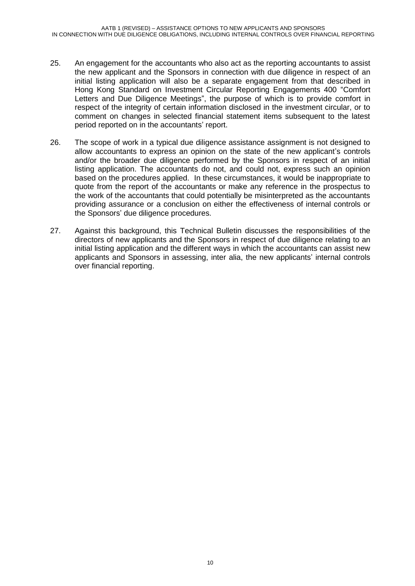- 25. An engagement for the accountants who also act as the reporting accountants to assist the new applicant and the Sponsors in connection with due diligence in respect of an initial listing application will also be a separate engagement from that described in Hong Kong Standard on Investment Circular Reporting Engagements 400 "Comfort Letters and Due Diligence Meetings", the purpose of which is to provide comfort in respect of the integrity of certain information disclosed in the investment circular, or to comment on changes in selected financial statement items subsequent to the latest period reported on in the accountants' report.
- 26. The scope of work in a typical due diligence assistance assignment is not designed to allow accountants to express an opinion on the state of the new applicant's controls and/or the broader due diligence performed by the Sponsors in respect of an initial listing application. The accountants do not, and could not, express such an opinion based on the procedures applied. In these circumstances, it would be inappropriate to quote from the report of the accountants or make any reference in the prospectus to the work of the accountants that could potentially be misinterpreted as the accountants providing assurance or a conclusion on either the effectiveness of internal controls or the Sponsors' due diligence procedures.
- 27. Against this background, this Technical Bulletin discusses the responsibilities of the directors of new applicants and the Sponsors in respect of due diligence relating to an initial listing application and the different ways in which the accountants can assist new applicants and Sponsors in assessing, inter alia, the new applicants' internal controls over financial reporting.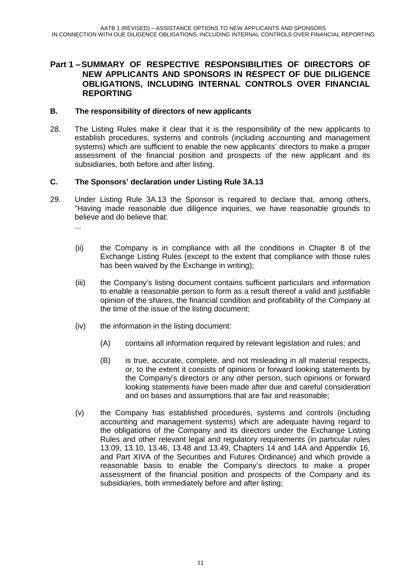#### **Part 1 –SUMMARY OF RESPECTIVE RESPONSIBILITIES OF DIRECTORS OF NEW APPLICANTS AND SPONSORS IN RESPECT OF DUE DILIGENCE OBLIGATIONS, INCLUDING INTERNAL CONTROLS OVER FINANCIAL REPORTING**

#### **B. The responsibility of directors of new applicants**

28. The Listing Rules make it clear that it is the responsibility of the new applicants to establish procedures, systems and controls (including accounting and management systems) which are sufficient to enable the new applicants' directors to make a proper assessment of the financial position and prospects of the new applicant and its subsidiaries, both before and after listing.

#### **C. The Sponsors' declaration under Listing Rule 3A.13**

29. Under Listing Rule 3A.13 the Sponsor is required to declare that, among others, "Having made reasonable due diligence inquiries, we have reasonable grounds to believe and do believe that:

...

- (ii) the Company is in compliance with all the conditions in Chapter 8 of the Exchange Listing Rules (except to the extent that compliance with those rules has been waived by the Exchange in writing);
- (iii) the Company's listing document contains sufficient particulars and information to enable a reasonable person to form as a result thereof a valid and justifiable opinion of the shares, the financial condition and profitability of the Company at the time of the issue of the listing document;
- (iv) the information in the listing document:
	- (A) contains all information required by relevant legislation and rules; and
	- (B) is true, accurate, complete, and not misleading in all material respects, or, to the extent it consists of opinions or forward looking statements by the Company's directors or any other person, such opinions or forward looking statements have been made after due and careful consideration and on bases and assumptions that are fair and reasonable;
- (v) the Company has established procedures, systems and controls (including accounting and management systems) which are adequate having regard to the obligations of the Company and its directors under the Exchange Listing Rules and other relevant legal and regulatory requirements (in particular rules 13.09, 13.10, 13.46, 13.48 and 13.49, Chapters 14 and 14A and Appendix 16, and Part XIVA of the Securities and Futures Ordinance) and which provide a reasonable basis to enable the Company's directors to make a proper assessment of the financial position and prospects of the Company and its subsidiaries, both immediately before and after listing;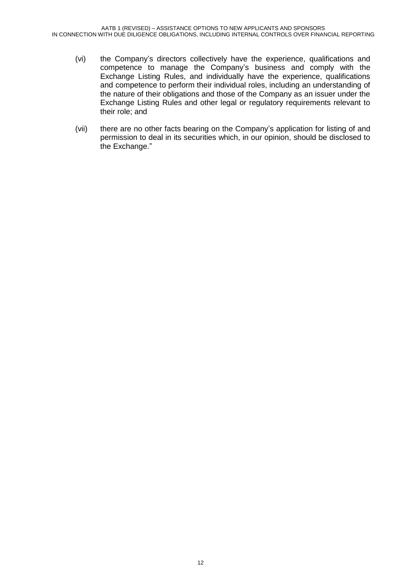- (vi) the Company's directors collectively have the experience, qualifications and competence to manage the Company's business and comply with the Exchange Listing Rules, and individually have the experience, qualifications and competence to perform their individual roles, including an understanding of the nature of their obligations and those of the Company as an issuer under the Exchange Listing Rules and other legal or regulatory requirements relevant to their role; and
- (vii) there are no other facts bearing on the Company's application for listing of and permission to deal in its securities which, in our opinion, should be disclosed to the Exchange."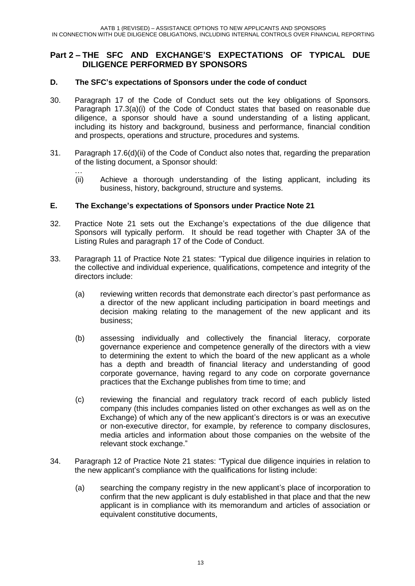#### **Part 2 – THE SFC AND EXCHANGE'S EXPECTATIONS OF TYPICAL DUE DILIGENCE PERFORMED BY SPONSORS**

#### **D. The SFC's expectations of Sponsors under the code of conduct**

- 30. Paragraph 17 of the Code of Conduct sets out the key obligations of Sponsors. Paragraph 17.3(a)(i) of the Code of Conduct states that based on reasonable due diligence, a sponsor should have a sound understanding of a listing applicant, including its history and background, business and performance, financial condition and prospects, operations and structure, procedures and systems.
- 31. Paragraph 17.6(d)(ii) of the Code of Conduct also notes that, regarding the preparation of the listing document, a Sponsor should:
	- … (ii) Achieve a thorough understanding of the listing applicant, including its business, history, background, structure and systems.

#### **E. The Exchange's expectations of Sponsors under Practice Note 21**

- 32. Practice Note 21 sets out the Exchange's expectations of the due diligence that Sponsors will typically perform. It should be read together with Chapter 3A of the Listing Rules and paragraph 17 of the Code of Conduct.
- 33. Paragraph 11 of Practice Note 21 states: "Typical due diligence inquiries in relation to the collective and individual experience, qualifications, competence and integrity of the directors include:
	- (a) reviewing written records that demonstrate each director's past performance as a director of the new applicant including participation in board meetings and decision making relating to the management of the new applicant and its business;
	- (b) assessing individually and collectively the financial literacy, corporate governance experience and competence generally of the directors with a view to determining the extent to which the board of the new applicant as a whole has a depth and breadth of financial literacy and understanding of good corporate governance, having regard to any code on corporate governance practices that the Exchange publishes from time to time; and
	- (c) reviewing the financial and regulatory track record of each publicly listed company (this includes companies listed on other exchanges as well as on the Exchange) of which any of the new applicant's directors is or was an executive or non-executive director, for example, by reference to company disclosures, media articles and information about those companies on the website of the relevant stock exchange."
- 34. Paragraph 12 of Practice Note 21 states: "Typical due diligence inquiries in relation to the new applicant's compliance with the qualifications for listing include:
	- (a) searching the company registry in the new applicant's place of incorporation to confirm that the new applicant is duly established in that place and that the new applicant is in compliance with its memorandum and articles of association or equivalent constitutive documents,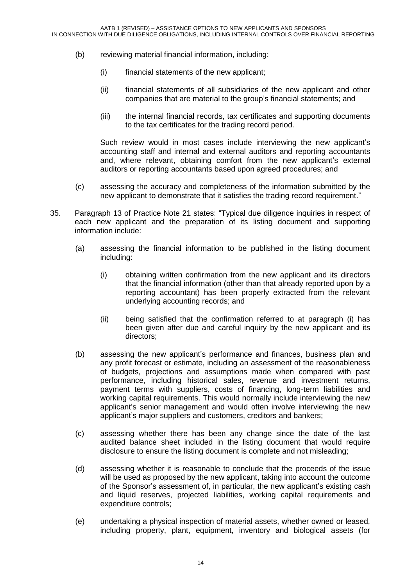- (b) reviewing material financial information, including:
	- (i) financial statements of the new applicant;
	- (ii) financial statements of all subsidiaries of the new applicant and other companies that are material to the group's financial statements; and
	- (iii) the internal financial records, tax certificates and supporting documents to the tax certificates for the trading record period.

Such review would in most cases include interviewing the new applicant's accounting staff and internal and external auditors and reporting accountants and, where relevant, obtaining comfort from the new applicant's external auditors or reporting accountants based upon agreed procedures; and

- (c) assessing the accuracy and completeness of the information submitted by the new applicant to demonstrate that it satisfies the trading record requirement."
- 35. Paragraph 13 of Practice Note 21 states: "Typical due diligence inquiries in respect of each new applicant and the preparation of its listing document and supporting information include:
	- (a) assessing the financial information to be published in the listing document including:
		- (i) obtaining written confirmation from the new applicant and its directors that the financial information (other than that already reported upon by a reporting accountant) has been properly extracted from the relevant underlying accounting records; and
		- (ii) being satisfied that the confirmation referred to at paragraph (i) has been given after due and careful inquiry by the new applicant and its directors;
	- (b) assessing the new applicant's performance and finances, business plan and any profit forecast or estimate, including an assessment of the reasonableness of budgets, projections and assumptions made when compared with past performance, including historical sales, revenue and investment returns, payment terms with suppliers, costs of financing, long-term liabilities and working capital requirements. This would normally include interviewing the new applicant's senior management and would often involve interviewing the new applicant's major suppliers and customers, creditors and bankers;
	- (c) assessing whether there has been any change since the date of the last audited balance sheet included in the listing document that would require disclosure to ensure the listing document is complete and not misleading;
	- (d) assessing whether it is reasonable to conclude that the proceeds of the issue will be used as proposed by the new applicant, taking into account the outcome of the Sponsor's assessment of, in particular, the new applicant's existing cash and liquid reserves, projected liabilities, working capital requirements and expenditure controls;
	- (e) undertaking a physical inspection of material assets, whether owned or leased, including property, plant, equipment, inventory and biological assets (for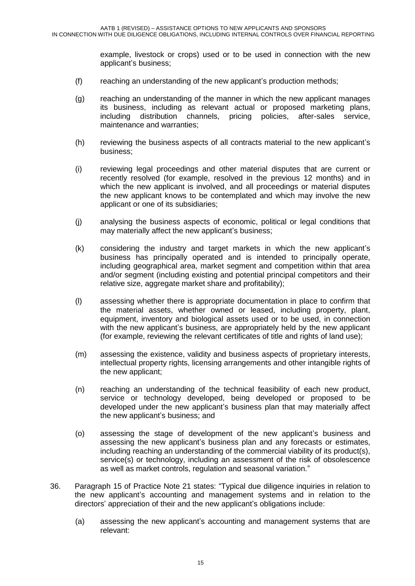example, livestock or crops) used or to be used in connection with the new applicant's business;

- (f) reaching an understanding of the new applicant's production methods;
- (g) reaching an understanding of the manner in which the new applicant manages its business, including as relevant actual or proposed marketing plans, including distribution channels, pricing policies, after-sales service, maintenance and warranties;
- (h) reviewing the business aspects of all contracts material to the new applicant's business;
- (i) reviewing legal proceedings and other material disputes that are current or recently resolved (for example, resolved in the previous 12 months) and in which the new applicant is involved, and all proceedings or material disputes the new applicant knows to be contemplated and which may involve the new applicant or one of its subsidiaries;
- (j) analysing the business aspects of economic, political or legal conditions that may materially affect the new applicant's business;
- (k) considering the industry and target markets in which the new applicant's business has principally operated and is intended to principally operate, including geographical area, market segment and competition within that area and/or segment (including existing and potential principal competitors and their relative size, aggregate market share and profitability);
- (l) assessing whether there is appropriate documentation in place to confirm that the material assets, whether owned or leased, including property, plant, equipment, inventory and biological assets used or to be used, in connection with the new applicant's business, are appropriately held by the new applicant (for example, reviewing the relevant certificates of title and rights of land use);
- (m) assessing the existence, validity and business aspects of proprietary interests, intellectual property rights, licensing arrangements and other intangible rights of the new applicant;
- (n) reaching an understanding of the technical feasibility of each new product, service or technology developed, being developed or proposed to be developed under the new applicant's business plan that may materially affect the new applicant's business; and
- (o) assessing the stage of development of the new applicant's business and assessing the new applicant's business plan and any forecasts or estimates, including reaching an understanding of the commercial viability of its product(s), service(s) or technology, including an assessment of the risk of obsolescence as well as market controls, regulation and seasonal variation."
- 36. Paragraph 15 of Practice Note 21 states: "Typical due diligence inquiries in relation to the new applicant's accounting and management systems and in relation to the directors' appreciation of their and the new applicant's obligations include:
	- (a) assessing the new applicant's accounting and management systems that are relevant: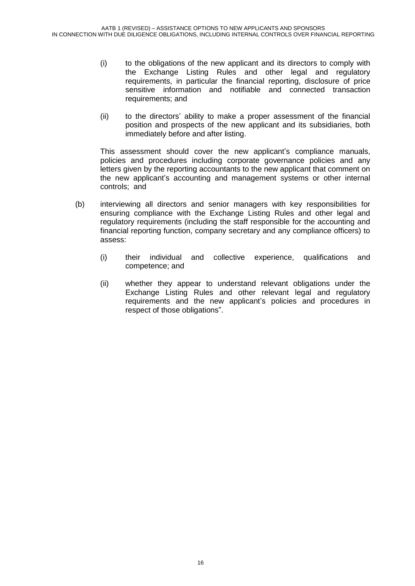- (i) to the obligations of the new applicant and its directors to comply with the Exchange Listing Rules and other legal and regulatory requirements, in particular the financial reporting, disclosure of price sensitive information and notifiable and connected transaction requirements; and
- (ii) to the directors' ability to make a proper assessment of the financial position and prospects of the new applicant and its subsidiaries, both immediately before and after listing.

This assessment should cover the new applicant's compliance manuals, policies and procedures including corporate governance policies and any letters given by the reporting accountants to the new applicant that comment on the new applicant's accounting and management systems or other internal controls; and

- (b) interviewing all directors and senior managers with key responsibilities for ensuring compliance with the Exchange Listing Rules and other legal and regulatory requirements (including the staff responsible for the accounting and financial reporting function, company secretary and any compliance officers) to assess:
	- (i) their individual and collective experience, qualifications and competence; and
	- (ii) whether they appear to understand relevant obligations under the Exchange Listing Rules and other relevant legal and regulatory requirements and the new applicant's policies and procedures in respect of those obligations".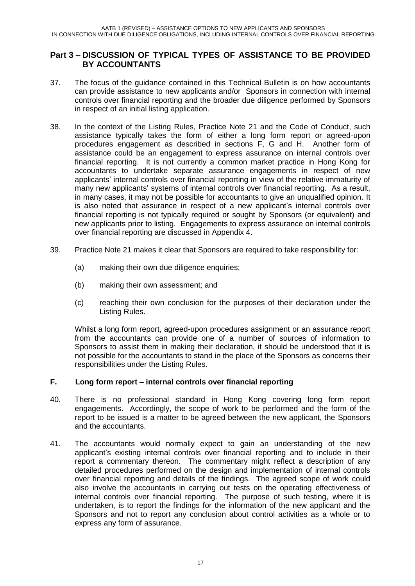#### **Part 3 – DISCUSSION OF TYPICAL TYPES OF ASSISTANCE TO BE PROVIDED BY ACCOUNTANTS**

- 37. The focus of the guidance contained in this Technical Bulletin is on how accountants can provide assistance to new applicants and/or Sponsors in connection with internal controls over financial reporting and the broader due diligence performed by Sponsors in respect of an initial listing application.
- 38. In the context of the Listing Rules, Practice Note 21 and the Code of Conduct, such assistance typically takes the form of either a long form report or agreed-upon procedures engagement as described in sections F, G and H. Another form of assistance could be an engagement to express assurance on internal controls over financial reporting. It is not currently a common market practice in Hong Kong for accountants to undertake separate assurance engagements in respect of new applicants' internal controls over financial reporting in view of the relative immaturity of many new applicants' systems of internal controls over financial reporting. As a result, in many cases, it may not be possible for accountants to give an unqualified opinion. It is also noted that assurance in respect of a new applicant's internal controls over financial reporting is not typically required or sought by Sponsors (or equivalent) and new applicants prior to listing. Engagements to express assurance on internal controls over financial reporting are discussed in Appendix 4.
- 39. Practice Note 21 makes it clear that Sponsors are required to take responsibility for:
	- (a) making their own due diligence enquiries;
	- (b) making their own assessment; and
	- (c) reaching their own conclusion for the purposes of their declaration under the Listing Rules.

Whilst a long form report, agreed-upon procedures assignment or an assurance report from the accountants can provide one of a number of sources of information to Sponsors to assist them in making their declaration, it should be understood that it is not possible for the accountants to stand in the place of the Sponsors as concerns their responsibilities under the Listing Rules.

#### **F. Long form report – internal controls over financial reporting**

- 40. There is no professional standard in Hong Kong covering long form report engagements. Accordingly, the scope of work to be performed and the form of the report to be issued is a matter to be agreed between the new applicant, the Sponsors and the accountants.
- 41. The accountants would normally expect to gain an understanding of the new applicant's existing internal controls over financial reporting and to include in their report a commentary thereon. The commentary might reflect a description of any detailed procedures performed on the design and implementation of internal controls over financial reporting and details of the findings. The agreed scope of work could also involve the accountants in carrying out tests on the operating effectiveness of internal controls over financial reporting. The purpose of such testing, where it is undertaken, is to report the findings for the information of the new applicant and the Sponsors and not to report any conclusion about control activities as a whole or to express any form of assurance.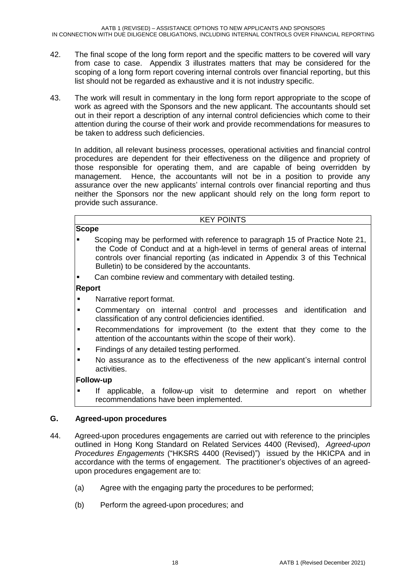- 42. The final scope of the long form report and the specific matters to be covered will vary from case to case. Appendix 3 illustrates matters that may be considered for the scoping of a long form report covering internal controls over financial reporting, but this list should not be regarded as exhaustive and it is not industry specific.
- 43. The work will result in commentary in the long form report appropriate to the scope of work as agreed with the Sponsors and the new applicant. The accountants should set out in their report a description of any internal control deficiencies which come to their attention during the course of their work and provide recommendations for measures to be taken to address such deficiencies.

In addition, all relevant business processes, operational activities and financial control procedures are dependent for their effectiveness on the diligence and propriety of those responsible for operating them, and are capable of being overridden by management. Hence, the accountants will not be in a position to provide any assurance over the new applicants' internal controls over financial reporting and thus neither the Sponsors nor the new applicant should rely on the long form report to provide such assurance.

#### KEY POINTS

- **Scope** Scoping may be performed with reference to paragraph 15 of Practice Note 21, the Code of Conduct and at a high-level in terms of general areas of internal controls over financial reporting (as indicated in Appendix 3 of this Technical Bulletin) to be considered by the accountants.
- **Can combine review and commentary with detailed testing.**

#### **Report**

- **Narrative report format.**
- Commentary on internal control and processes and identification and classification of any control deficiencies identified.
- **Recommendations for improvement (to the extent that they come to the** attention of the accountants within the scope of their work).
- Findings of any detailed testing performed.
- No assurance as to the effectiveness of the new applicant's internal control activities.

#### **Follow-up**

 If applicable, a follow-up visit to determine and report on whether recommendations have been implemented.

#### **G. Agreed-upon procedures**

- 44. Agreed-upon procedures engagements are carried out with reference to the principles outlined in Hong Kong Standard on Related Services 4400 (Revised), *Agreed-upon Procedures Engagements* ("HKSRS 4400 (Revised)") issued by the HKICPA and in accordance with the terms of engagement. The practitioner's objectives of an agreedupon procedures engagement are to:
	- (a) Agree with the engaging party the procedures to be performed;
	- (b) Perform the agreed-upon procedures; and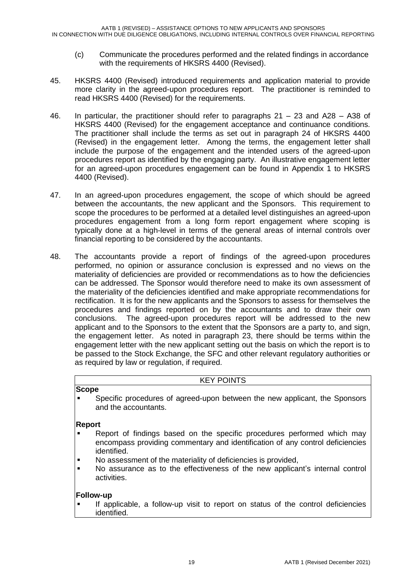- (c) Communicate the procedures performed and the related findings in accordance with the requirements of HKSRS 4400 (Revised).
- 45. HKSRS 4400 (Revised) introduced requirements and application material to provide more clarity in the agreed-upon procedures report. The practitioner is reminded to read HKSRS 4400 (Revised) for the requirements.
- 46. In particular, the practitioner should refer to paragraphs 21 23 and A28 A38 of HKSRS 4400 (Revised) for the engagement acceptance and continuance conditions. The practitioner shall include the terms as set out in paragraph 24 of HKSRS 4400 (Revised) in the engagement letter. Among the terms, the engagement letter shall include the purpose of the engagement and the intended users of the agreed-upon procedures report as identified by the engaging party. An illustrative engagement letter for an agreed-upon procedures engagement can be found in Appendix 1 to HKSRS 4400 (Revised).
- 47. In an agreed-upon procedures engagement, the scope of which should be agreed between the accountants, the new applicant and the Sponsors. This requirement to scope the procedures to be performed at a detailed level distinguishes an agreed-upon procedures engagement from a long form report engagement where scoping is typically done at a high-level in terms of the general areas of internal controls over financial reporting to be considered by the accountants.
- 48. The accountants provide a report of findings of the agreed-upon procedures performed, no opinion or assurance conclusion is expressed and no views on the materiality of deficiencies are provided or recommendations as to how the deficiencies can be addressed. The Sponsor would therefore need to make its own assessment of the materiality of the deficiencies identified and make appropriate recommendations for rectification. It is for the new applicants and the Sponsors to assess for themselves the procedures and findings reported on by the accountants and to draw their own conclusions. The agreed-upon procedures report will be addressed to the new applicant and to the Sponsors to the extent that the Sponsors are a party to, and sign, the engagement letter. As noted in paragraph 23, there should be terms within the engagement letter with the new applicant setting out the basis on which the report is to be passed to the Stock Exchange, the SFC and other relevant regulatory authorities or as required by law or regulation, if required.

#### KEY POINTS

#### **Scope**

 Specific procedures of agreed-upon between the new applicant, the Sponsors and the accountants.

#### **Report**

- Report of findings based on the specific procedures performed which may encompass providing commentary and identification of any control deficiencies identified.
- No assessment of the materiality of deficiencies is provided,
- No assurance as to the effectiveness of the new applicant's internal control activities.

#### **Follow-up**

 If applicable, a follow-up visit to report on status of the control deficiencies identified.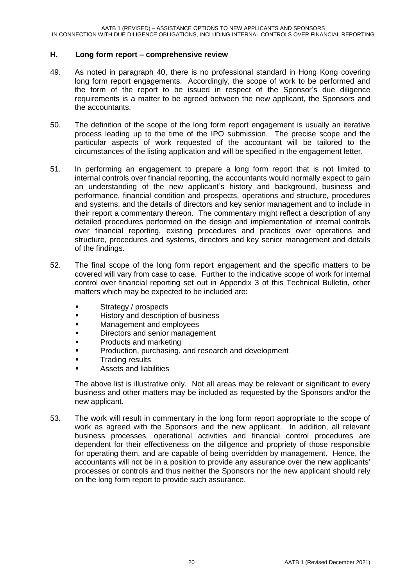#### **H. Long form report – comprehensive review**

- 49. As noted in paragraph 40, there is no professional standard in Hong Kong covering long form report engagements. Accordingly, the scope of work to be performed and the form of the report to be issued in respect of the Sponsor's due diligence requirements is a matter to be agreed between the new applicant, the Sponsors and the accountants.
- 50. The definition of the scope of the long form report engagement is usually an iterative process leading up to the time of the IPO submission. The precise scope and the particular aspects of work requested of the accountant will be tailored to the circumstances of the listing application and will be specified in the engagement letter.
- 51. In performing an engagement to prepare a long form report that is not limited to internal controls over financial reporting, the accountants would normally expect to gain an understanding of the new applicant's history and background, business and performance, financial condition and prospects, operations and structure, procedures and systems, and the details of directors and key senior management and to include in their report a commentary thereon. The commentary might reflect a description of any detailed procedures performed on the design and implementation of internal controls over financial reporting, existing procedures and practices over operations and structure, procedures and systems, directors and key senior management and details of the findings.
- 52. The final scope of the long form report engagement and the specific matters to be covered will vary from case to case. Further to the indicative scope of work for internal control over financial reporting set out in Appendix 3 of this Technical Bulletin, other matters which may be expected to be included are:
	- Strategy / prospects
	- **History and description of business**
	- Management and employees
	- Directors and senior management
	- Products and marketing
	- **Production, purchasing, and research and development**
	- Trading results
	- Assets and liabilities

The above list is illustrative only. Not all areas may be relevant or significant to every business and other matters may be included as requested by the Sponsors and/or the new applicant.

53. The work will result in commentary in the long form report appropriate to the scope of work as agreed with the Sponsors and the new applicant. In addition, all relevant business processes, operational activities and financial control procedures are dependent for their effectiveness on the diligence and propriety of those responsible for operating them, and are capable of being overridden by management. Hence, the accountants will not be in a position to provide any assurance over the new applicants' processes or controls and thus neither the Sponsors nor the new applicant should rely on the long form report to provide such assurance.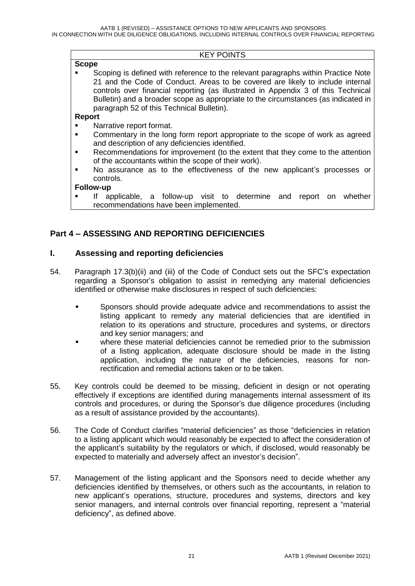#### KEY POINTS

#### **Scope** Scoping is defined with reference to the relevant paragraphs within Practice Note 21 and the Code of Conduct. Areas to be covered are likely to include internal controls over financial reporting (as illustrated in Appendix 3 of this Technical Bulletin) and a broader scope as appropriate to the circumstances (as indicated in paragraph 52 of this Technical Bulletin).

#### **Report**

- Narrative report format.
- Commentary in the long form report appropriate to the scope of work as agreed and description of any deficiencies identified.
- Recommendations for improvement (to the extent that they come to the attention of the accountants within the scope of their work).
- No assurance as to the effectiveness of the new applicant's processes or controls.

#### **Follow-up**

 If applicable, a follow-up visit to determine and report on whether recommendations have been implemented.

#### **Part 4 – ASSESSING AND REPORTING DEFICIENCIES**

#### **I. Assessing and reporting deficiencies**

- 54. Paragraph 17.3(b)(ii) and (iii) of the Code of Conduct sets out the SFC's expectation regarding a Sponsor's obligation to assist in remedying any material deficiencies identified or otherwise make disclosures in respect of such deficiencies:
	- Sponsors should provide adequate advice and recommendations to assist the listing applicant to remedy any material deficiencies that are identified in relation to its operations and structure, procedures and systems, or directors and key senior managers; and
	- where these material deficiencies cannot be remedied prior to the submission of a listing application, adequate disclosure should be made in the listing application, including the nature of the deficiencies, reasons for nonrectification and remedial actions taken or to be taken.
- 55. Key controls could be deemed to be missing, deficient in design or not operating effectively if exceptions are identified during managements internal assessment of its controls and procedures, or during the Sponsor's due diligence procedures (including as a result of assistance provided by the accountants).
- 56. The Code of Conduct clarifies "material deficiencies" as those "deficiencies in relation to a listing applicant which would reasonably be expected to affect the consideration of the applicant's suitability by the regulators or which, if disclosed, would reasonably be expected to materially and adversely affect an investor's decision".
- 57. Management of the listing applicant and the Sponsors need to decide whether any deficiencies identified by themselves, or others such as the accountants, in relation to new applicant's operations, structure, procedures and systems, directors and key senior managers, and internal controls over financial reporting, represent a "material deficiency", as defined above.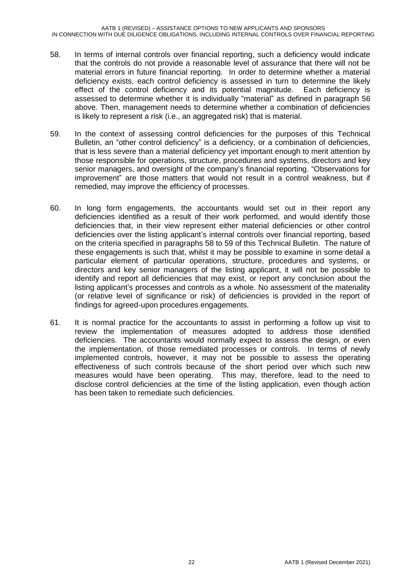- 58. In terms of internal controls over financial reporting, such a deficiency would indicate that the controls do not provide a reasonable level of assurance that there will not be material errors in future financial reporting. In order to determine whether a material deficiency exists, each control deficiency is assessed in turn to determine the likely effect of the control deficiency and its potential magnitude. Each deficiency is assessed to determine whether it is individually "material" as defined in paragraph 56 above. Then, management needs to determine whether a combination of deficiencies is likely to represent a risk (i.e., an aggregated risk) that is material.
- 59. In the context of assessing control deficiencies for the purposes of this Technical Bulletin, an "other control deficiency" is a deficiency, or a combination of deficiencies, that is less severe than a material deficiency yet important enough to merit attention by those responsible for operations, structure, procedures and systems, directors and key senior managers, and oversight of the company's financial reporting. "Observations for improvement" are those matters that would not result in a control weakness, but if remedied, may improve the efficiency of processes.
- 60. In long form engagements, the accountants would set out in their report any deficiencies identified as a result of their work performed, and would identify those deficiencies that, in their view represent either material deficiencies or other control deficiencies over the listing applicant's internal controls over financial reporting, based on the criteria specified in paragraphs 58 to 59 of this Technical Bulletin. The nature of these engagements is such that, whilst it may be possible to examine in some detail a particular element of particular operations, structure, procedures and systems, or directors and key senior managers of the listing applicant, it will not be possible to identify and report all deficiencies that may exist, or report any conclusion about the listing applicant's processes and controls as a whole. No assessment of the materiality (or relative level of significance or risk) of deficiencies is provided in the report of findings for agreed-upon procedures engagements.
- 61. It is normal practice for the accountants to assist in performing a follow up visit to review the implementation of measures adopted to address those identified deficiencies. The accountants would normally expect to assess the design, or even the implementation, of those remediated processes or controls. In terms of newly implemented controls, however, it may not be possible to assess the operating effectiveness of such controls because of the short period over which such new measures would have been operating. This may, therefore, lead to the need to disclose control deficiencies at the time of the listing application, even though action has been taken to remediate such deficiencies.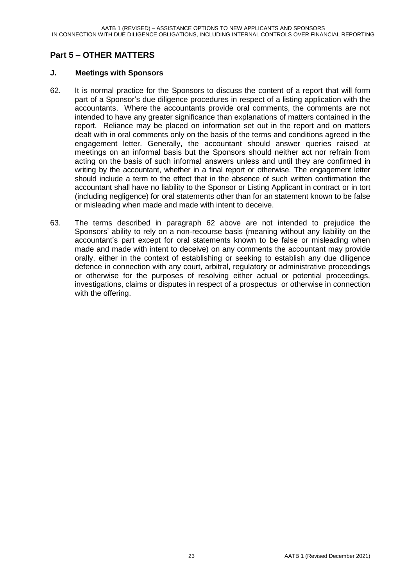### **Part 5 – OTHER MATTERS**

#### **J. Meetings with Sponsors**

- 62. It is normal practice for the Sponsors to discuss the content of a report that will form part of a Sponsor's due diligence procedures in respect of a listing application with the accountants. Where the accountants provide oral comments, the comments are not intended to have any greater significance than explanations of matters contained in the report. Reliance may be placed on information set out in the report and on matters dealt with in oral comments only on the basis of the terms and conditions agreed in the engagement letter. Generally, the accountant should answer queries raised at meetings on an informal basis but the Sponsors should neither act nor refrain from acting on the basis of such informal answers unless and until they are confirmed in writing by the accountant, whether in a final report or otherwise. The engagement letter should include a term to the effect that in the absence of such written confirmation the accountant shall have no liability to the Sponsor or Listing Applicant in contract or in tort (including negligence) for oral statements other than for an statement known to be false or misleading when made and made with intent to deceive.
- 63. The terms described in paragraph 62 above are not intended to prejudice the Sponsors' ability to rely on a non-recourse basis (meaning without any liability on the accountant's part except for oral statements known to be false or misleading when made and made with intent to deceive) on any comments the accountant may provide orally, either in the context of establishing or seeking to establish any due diligence defence in connection with any court, arbitral, regulatory or administrative proceedings or otherwise for the purposes of resolving either actual or potential proceedings, investigations, claims or disputes in respect of a prospectus or otherwise in connection with the offering.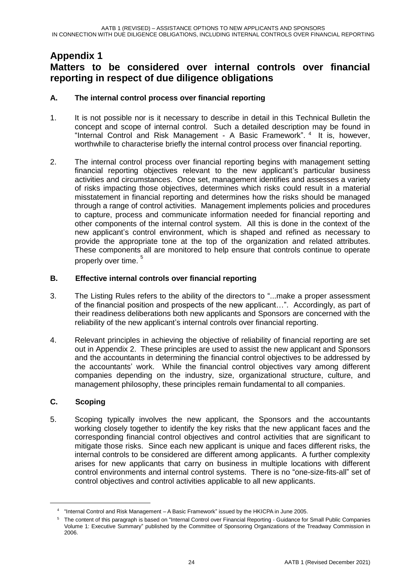## **Appendix 1 Matters to be considered over internal controls over financial reporting in respect of due diligence obligations**

#### **A. The internal control process over financial reporting**

- 1. It is not possible nor is it necessary to describe in detail in this Technical Bulletin the concept and scope of internal control. Such a detailed description may be found in "Internal Control and Risk Management - A Basic Framework". <sup>4</sup> It is, however, worthwhile to characterise briefly the internal control process over financial reporting.
- 2. The internal control process over financial reporting begins with management setting financial reporting objectives relevant to the new applicant's particular business activities and circumstances. Once set, management identifies and assesses a variety of risks impacting those objectives, determines which risks could result in a material misstatement in financial reporting and determines how the risks should be managed through a range of control activities. Management implements policies and procedures to capture, process and communicate information needed for financial reporting and other components of the internal control system. All this is done in the context of the new applicant's control environment, which is shaped and refined as necessary to provide the appropriate tone at the top of the organization and related attributes. These components all are monitored to help ensure that controls continue to operate properly over time. <sup>5</sup>

#### **B. Effective internal controls over financial reporting**

- 3. The Listing Rules refers to the ability of the directors to "...make a proper assessment of the financial position and prospects of the new applicant…". Accordingly, as part of their readiness deliberations both new applicants and Sponsors are concerned with the reliability of the new applicant's internal controls over financial reporting.
- 4. Relevant principles in achieving the objective of reliability of financial reporting are set out in Appendix 2. These principles are used to assist the new applicant and Sponsors and the accountants in determining the financial control objectives to be addressed by the accountants' work. While the financial control objectives vary among different companies depending on the industry, size, organizational structure, culture, and management philosophy, these principles remain fundamental to all companies.

#### **C. Scoping**

-

5. Scoping typically involves the new applicant, the Sponsors and the accountants working closely together to identify the key risks that the new applicant faces and the corresponding financial control objectives and control activities that are significant to mitigate those risks. Since each new applicant is unique and faces different risks, the internal controls to be considered are different among applicants. A further complexity arises for new applicants that carry on business in multiple locations with different control environments and internal control systems. There is no "one-size-fits-all" set of control objectives and control activities applicable to all new applicants.

<sup>4</sup> "Internal Control and Risk Management – A Basic Framework" issued by the HKICPA in June 2005.

<sup>5</sup> The content of this paragraph is based on "Internal Control over Financial Reporting - Guidance for Small Public Companies Volume 1: Executive Summary" published by the Committee of Sponsoring Organizations of the Treadway Commission in 2006.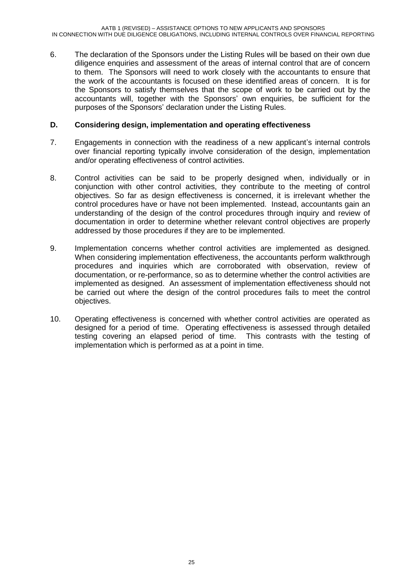6. The declaration of the Sponsors under the Listing Rules will be based on their own due diligence enquiries and assessment of the areas of internal control that are of concern to them. The Sponsors will need to work closely with the accountants to ensure that the work of the accountants is focused on these identified areas of concern. It is for the Sponsors to satisfy themselves that the scope of work to be carried out by the accountants will, together with the Sponsors' own enquiries, be sufficient for the purposes of the Sponsors' declaration under the Listing Rules.

#### **D. Considering design, implementation and operating effectiveness**

- 7. Engagements in connection with the readiness of a new applicant's internal controls over financial reporting typically involve consideration of the design, implementation and/or operating effectiveness of control activities.
- 8. Control activities can be said to be properly designed when, individually or in conjunction with other control activities, they contribute to the meeting of control objectives. So far as design effectiveness is concerned, it is irrelevant whether the control procedures have or have not been implemented. Instead, accountants gain an understanding of the design of the control procedures through inquiry and review of documentation in order to determine whether relevant control objectives are properly addressed by those procedures if they are to be implemented.
- 9. Implementation concerns whether control activities are implemented as designed. When considering implementation effectiveness, the accountants perform walkthrough procedures and inquiries which are corroborated with observation, review of documentation, or re-performance, so as to determine whether the control activities are implemented as designed. An assessment of implementation effectiveness should not be carried out where the design of the control procedures fails to meet the control objectives.
- 10. Operating effectiveness is concerned with whether control activities are operated as designed for a period of time. Operating effectiveness is assessed through detailed testing covering an elapsed period of time. This contrasts with the testing of implementation which is performed as at a point in time.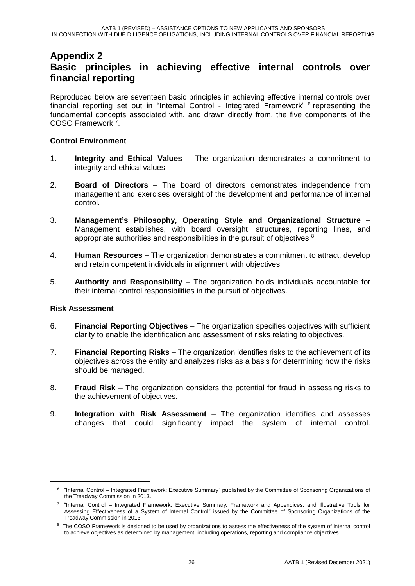## **Appendix 2 Basic principles in achieving effective internal controls over financial reporting**

Reproduced below are seventeen basic principles in achieving effective internal controls over financial reporting set out in "Internal Control - Integrated Framework" <sup>6</sup> representing the fundamental concepts associated with, and drawn directly from, the five components of the COSO Framework<sup>7</sup>.

#### **Control Environment**

- 1. **Integrity and Ethical Values** The organization demonstrates a commitment to integrity and ethical values.
- 2. **Board of Directors** The board of directors demonstrates independence from management and exercises oversight of the development and performance of internal control.
- 3. **Management's Philosophy, Operating Style and Organizational Structure** Management establishes, with board oversight, structures, reporting lines, and appropriate authorities and responsibilities in the pursuit of objectives  $8$ .
- 4. **Human Resources** The organization demonstrates a commitment to attract, develop and retain competent individuals in alignment with objectives.
- 5. **Authority and Responsibility** The organization holds individuals accountable for their internal control responsibilities in the pursuit of objectives.

#### **Risk Assessment**

1

- 6. **Financial Reporting Objectives** The organization specifies objectives with sufficient clarity to enable the identification and assessment of risks relating to objectives.
- 7. **Financial Reporting Risks** The organization identifies risks to the achievement of its objectives across the entity and analyzes risks as a basis for determining how the risks should be managed.
- 8. **Fraud Risk** The organization considers the potential for fraud in assessing risks to the achievement of objectives.
- 9. **Integration with Risk Assessment** The organization identifies and assesses changes that could significantly impact the system of internal control.

<sup>6</sup> "Internal Control – Integrated Framework: Executive Summary" published by the Committee of Sponsoring Organizations of the Treadway Commission in 2013.

<sup>&</sup>lt;sup>7</sup> "Internal Control – Integrated Framework: Executive Summary, Framework and Appendices, and Illustrative Tools for Assessing Effectiveness of a System of Internal Control" issued by the Committee of Sponsoring Organizations of the Treadway Commission in 2013.

<sup>&</sup>lt;sup>8</sup> The COSO Framework is designed to be used by organizations to assess the effectiveness of the system of internal control to achieve objectives as determined by management, including operations, reporting and compliance objectives.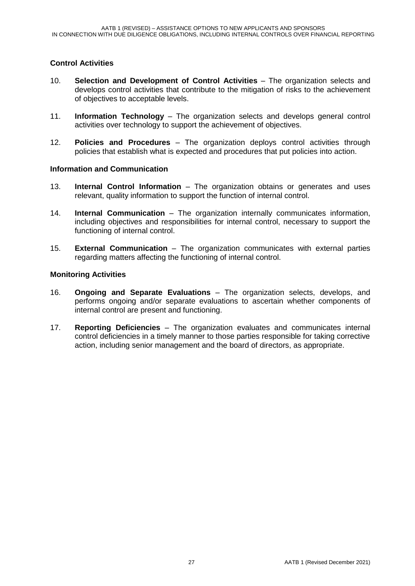#### **Control Activities**

- 10. **Selection and Development of Control Activities** The organization selects and develops control activities that contribute to the mitigation of risks to the achievement of objectives to acceptable levels.
- 11. **Information Technology** The organization selects and develops general control activities over technology to support the achievement of objectives.
- 12. **Policies and Procedures** The organization deploys control activities through policies that establish what is expected and procedures that put policies into action.

#### **Information and Communication**

- 13. **Internal Control Information** The organization obtains or generates and uses relevant, quality information to support the function of internal control.
- 14. **Internal Communication** The organization internally communicates information, including objectives and responsibilities for internal control, necessary to support the functioning of internal control.
- 15. **External Communication** The organization communicates with external parties regarding matters affecting the functioning of internal control.

#### **Monitoring Activities**

- 16. **Ongoing and Separate Evaluations** The organization selects, develops, and performs ongoing and/or separate evaluations to ascertain whether components of internal control are present and functioning.
- 17. **Reporting Deficiencies** The organization evaluates and communicates internal control deficiencies in a timely manner to those parties responsible for taking corrective action, including senior management and the board of directors, as appropriate.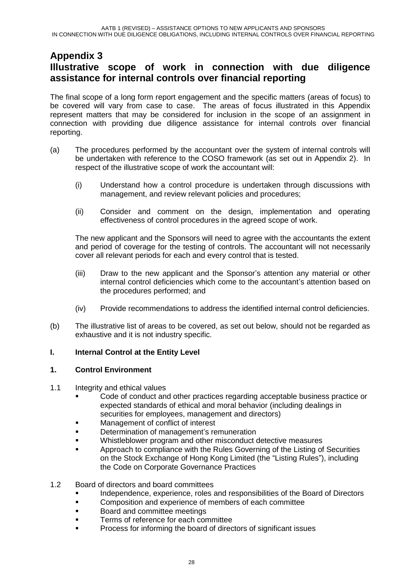## **Appendix 3 Illustrative scope of work in connection with due diligence assistance for internal controls over financial reporting**

The final scope of a long form report engagement and the specific matters (areas of focus) to be covered will vary from case to case. The areas of focus illustrated in this Appendix represent matters that may be considered for inclusion in the scope of an assignment in connection with providing due diligence assistance for internal controls over financial reporting.

- (a) The procedures performed by the accountant over the system of internal controls will be undertaken with reference to the COSO framework (as set out in Appendix 2). In respect of the illustrative scope of work the accountant will:
	- (i) Understand how a control procedure is undertaken through discussions with management, and review relevant policies and procedures;
	- (ii) Consider and comment on the design, implementation and operating effectiveness of control procedures in the agreed scope of work.

The new applicant and the Sponsors will need to agree with the accountants the extent and period of coverage for the testing of controls. The accountant will not necessarily cover all relevant periods for each and every control that is tested.

- (iii) Draw to the new applicant and the Sponsor's attention any material or other internal control deficiencies which come to the accountant's attention based on the procedures performed; and
- (iv) Provide recommendations to address the identified internal control deficiencies.
- (b) The illustrative list of areas to be covered, as set out below, should not be regarded as exhaustive and it is not industry specific.

#### **I. Internal Control at the Entity Level**

#### **1. Control Environment**

- 1.1 Integrity and ethical values
	- Code of conduct and other practices regarding acceptable business practice or expected standards of ethical and moral behavior (including dealings in securities for employees, management and directors)
	- Management of conflict of interest
	- Determination of management's remuneration
	- **Whistleblower program and other misconduct detective measures**
	- Approach to compliance with the Rules Governing of the Listing of Securities on the Stock Exchange of Hong Kong Limited (the "Listing Rules"), including the Code on Corporate Governance Practices

#### 1.2 Board of directors and board committees

- **Independence, experience, roles and responsibilities of the Board of Directors**
- **EXECOM** Composition and experience of members of each committee
- **Board and committee meetings**
- Terms of reference for each committee
- Process for informing the board of directors of significant issues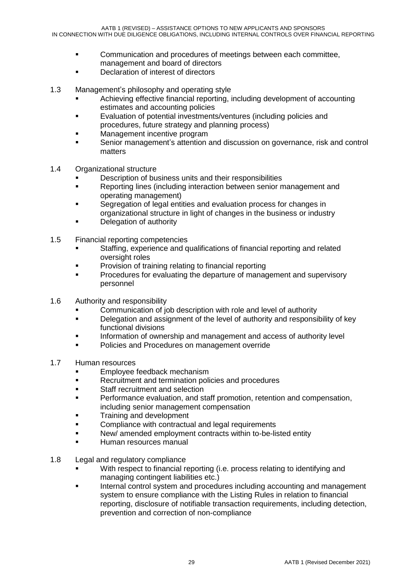- Communication and procedures of meetings between each committee, management and board of directors
- **Declaration of interest of directors**
- 1.3 Management's philosophy and operating style
	- Achieving effective financial reporting, including development of accounting estimates and accounting policies
	- **Evaluation of potential investments/ventures (including policies and** procedures, future strategy and planning process)
	- Management incentive program
	- Senior management's attention and discussion on governance, risk and control matters
- 1.4 Organizational structure
	- Description of business units and their responsibilities
	- Reporting lines (including interaction between senior management and operating management)
	- **Segregation of legal entities and evaluation process for changes in** organizational structure in light of changes in the business or industry
	- Delegation of authority
- 1.5 Financial reporting competencies
	- Staffing, experience and qualifications of financial reporting and related oversight roles
	- Provision of training relating to financial reporting
	- Procedures for evaluating the departure of management and supervisory personnel
- 1.6 Authority and responsibility
	- **EXECOMMUNICATED COMMUNICATION COMMUNICATION** of job description with role and level of authority
	- **Delegation and assignment of the level of authority and responsibility of key** functional divisions
	- Information of ownership and management and access of authority level
	- **•** Policies and Procedures on management override
- 1.7 Human resources
	- Employee feedback mechanism
	- **Recruitment and termination policies and procedures**
	- Staff recruitment and selection
	- **Performance evaluation, and staff promotion, retention and compensation,** including senior management compensation
	- **Training and development**
	- **EXECOMPLEANCE With contractual and legal requirements**
	- New/ amended employment contracts within to-be-listed entity
	- Human resources manual
- 1.8 Legal and regulatory compliance
	- With respect to financial reporting (i.e. process relating to identifying and managing contingent liabilities etc.)
	- Internal control system and procedures including accounting and management system to ensure compliance with the Listing Rules in relation to financial reporting, disclosure of notifiable transaction requirements, including detection, prevention and correction of non-compliance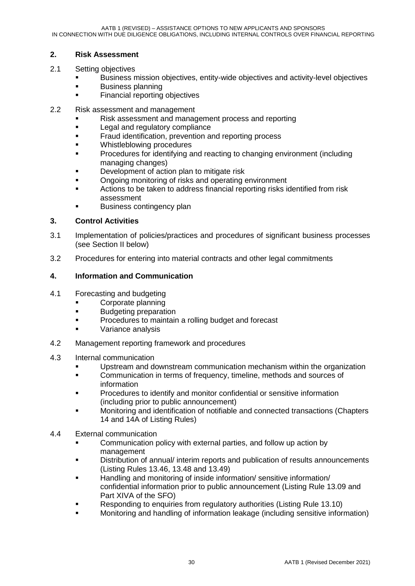#### **2. Risk Assessment**

- 2.1 Setting objectives
	- Business mission objectives, entity-wide objectives and activity-level objectives
	- **Business planning**
	- **Financial reporting objectives**
- 2.2 Risk assessment and management
	- Risk assessment and management process and reporting
	- Legal and regulatory compliance
	- **Fraud identification, prevention and reporting process**
	- Whistleblowing procedures
	- Procedures for identifying and reacting to changing environment (including managing changes)
	- **Development of action plan to mitigate risk**
	- Ongoing monitoring of risks and operating environment
	- **EXECT** Actions to be taken to address financial reporting risks identified from risk assessment
	- Business contingency plan

#### **3. Control Activities**

- 3.1 Implementation of policies/practices and procedures of significant business processes (see Section II below)
- 3.2 Procedures for entering into material contracts and other legal commitments

#### **4. Information and Communication**

- 4.1 Forecasting and budgeting
	- **Corporate planning**
	- **Budgeting preparation**
	- Procedures to maintain a rolling budget and forecast
	- Variance analysis
- 4.2 Management reporting framework and procedures
- 4.3 Internal communication
	- Upstream and downstream communication mechanism within the organization
	- Communication in terms of frequency, timeline, methods and sources of information
	- Procedures to identify and monitor confidential or sensitive information (including prior to public announcement)
	- Monitoring and identification of notifiable and connected transactions (Chapters 14 and 14A of Listing Rules)
- 4.4 External communication
	- Communication policy with external parties, and follow up action by management
	- **EXECT** Distribution of annual/interim reports and publication of results announcements (Listing Rules 13.46, 13.48 and 13.49)
	- Handling and monitoring of inside information/ sensitive information/ confidential information prior to public announcement (Listing Rule 13.09 and Part XIVA of the SFO)
	- Responding to enquiries from regulatory authorities (Listing Rule 13.10)
	- Monitoring and handling of information leakage (including sensitive information)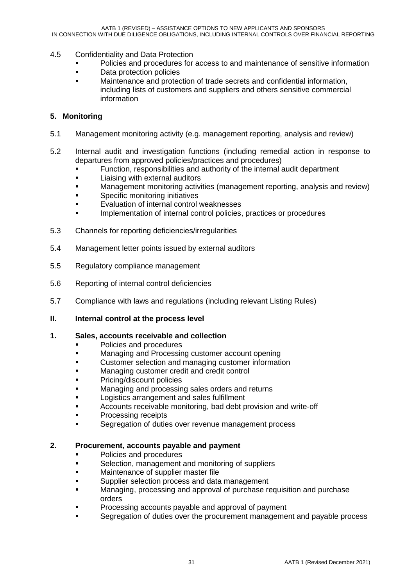- 4.5 Confidentiality and Data Protection
	- Policies and procedures for access to and maintenance of sensitive information
	- **Data protection policies**
	- Maintenance and protection of trade secrets and confidential information, including lists of customers and suppliers and others sensitive commercial information

#### **5. Monitoring**

- 5.1 Management monitoring activity (e.g. management reporting, analysis and review)
- 5.2 Internal audit and investigation functions (including remedial action in response to departures from approved policies/practices and procedures)
	- Function, responsibilities and authority of the internal audit department
	- **EXECUTE:** Liaising with external auditors
	- Management monitoring activities (management reporting, analysis and review)
	- Specific monitoring initiatives
	- Evaluation of internal control weaknesses
	- Implementation of internal control policies, practices or procedures
- 5.3 Channels for reporting deficiencies/irregularities
- 5.4 Management letter points issued by external auditors
- 5.5 Regulatory compliance management
- 5.6 Reporting of internal control deficiencies
- 5.7 Compliance with laws and regulations (including relevant Listing Rules)
- **II. Internal control at the process level**

#### **1. Sales, accounts receivable and collection**

- Policies and procedures
- Managing and Processing customer account opening
- Customer selection and managing customer information
- Managing customer credit and credit control
- Pricing/discount policies
- Managing and processing sales orders and returns
- Logistics arrangement and sales fulfillment
- Accounts receivable monitoring, bad debt provision and write-off
- Processing receipts
- Segregation of duties over revenue management process

#### **2. Procurement, accounts payable and payment**

- **Policies and procedures**
- Selection, management and monitoring of suppliers
- Maintenance of supplier master file
- Supplier selection process and data management
- Managing, processing and approval of purchase requisition and purchase orders
- Processing accounts payable and approval of payment
- Segregation of duties over the procurement management and payable process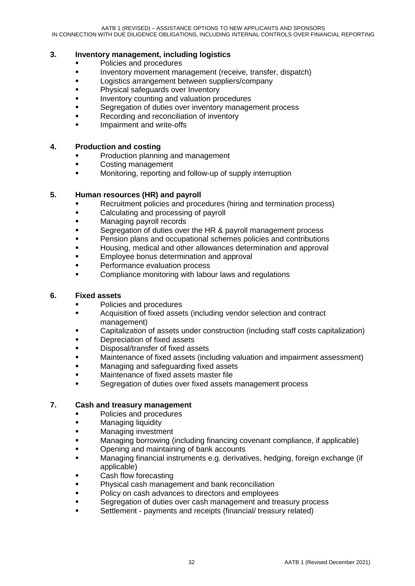#### **3. Inventory management, including logistics**

- **•** Policies and procedures
- **Inventory movement management (receive, transfer, dispatch)**
- **Logistics arrangement between suppliers/company**
- **Physical safeguards over Inventory**
- Inventory counting and valuation procedures
- Segregation of duties over inventory management process
- Recording and reconciliation of inventory
- Impairment and write-offs

#### **4. Production and costing**

- Production planning and management
- Costing management
- **•** Monitoring, reporting and follow-up of supply interruption

#### **5. Human resources (HR) and payroll**

- Recruitment policies and procedures (hiring and termination process)
- Calculating and processing of payroll
- **Managing payroll records**
- Segregation of duties over the HR & payroll management process
- Pension plans and occupational schemes policies and contributions
- Housing, medical and other allowances determination and approval
- **Employee bonus determination and approval**
- Performance evaluation process
- **EXECOMPLE COMPLIANCE MONITORY META COMPLIANCE MONITORY COMPLIANCE TO COMPLIANCE THE COMPLIANCE COMPLIANCE TO COMPLIANCE THE COMPLIANCE TO COMPLIANCE THE COMPLIANCE THE COMPLIANCE THE COMPLIANCE THE COMPLIANCE THE COMPLI**

#### **6. Fixed assets**

- Policies and procedures
- **EXECUTE:** Acquisition of fixed assets (including vendor selection and contract management)
- Capitalization of assets under construction (including staff costs capitalization)
- Depreciation of fixed assets
- **Disposal/transfer of fixed assets**
- **EXEDENT** Maintenance of fixed assets (including valuation and impairment assessment)
- **Managing and safeguarding fixed assets**
- Maintenance of fixed assets master file
- Segregation of duties over fixed assets management process

#### **7. Cash and treasury management**

- Policies and procedures
- Managing liquidity
- **Managing investment**
- Managing borrowing (including financing covenant compliance, if applicable)
- Opening and maintaining of bank accounts
- Managing financial instruments e.g. derivatives, hedging, foreign exchange (if applicable)
- Cash flow forecasting
- Physical cash management and bank reconciliation
- Policy on cash advances to directors and employees
- Segregation of duties over cash management and treasury process
- Settlement payments and receipts (financial/ treasury related)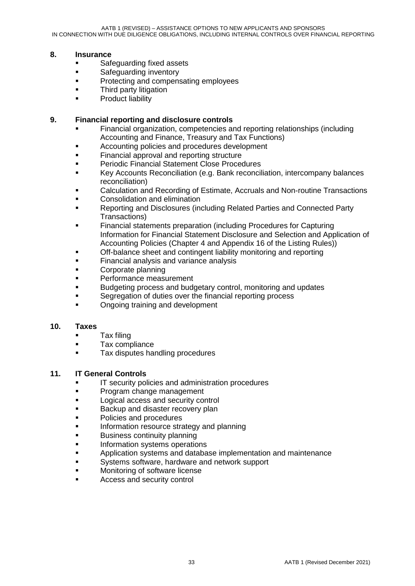#### **8. Insurance**

- **Safeguarding fixed assets**
- **Safeguarding inventory**
- **Protecting and compensating employees**
- **Third party litigation**
- **Product liability**

#### **9. Financial reporting and disclosure controls**

- Financial organization, competencies and reporting relationships (including Accounting and Finance, Treasury and Tax Functions)
- Accounting policies and procedures development
- Financial approval and reporting structure
- **Periodic Financial Statement Close Procedures**
- **Key Accounts Reconciliation (e.g. Bank reconciliation, intercompany balances** reconciliation)
- Calculation and Recording of Estimate, Accruals and Non-routine Transactions
- Consolidation and elimination
- Reporting and Disclosures (including Related Parties and Connected Party Transactions)
- Financial statements preparation (including Procedures for Capturing Information for Financial Statement Disclosure and Selection and Application of Accounting Policies (Chapter 4 and Appendix 16 of the Listing Rules))
- Off-balance sheet and contingent liability monitoring and reporting
- Financial analysis and variance analysis
- Corporate planning
- **Performance measurement**
- Budgeting process and budgetary control, monitoring and updates
- **Segregation of duties over the financial reporting process**
- Ongoing training and development

#### **10. Taxes**

- **Tax filing**
- **Tax compliance**
- **Tax disputes handling procedures**

#### **11. IT General Controls**

- IT security policies and administration procedures
- **Program change management**
- **Logical access and security control**
- **Backup and disaster recovery plan**
- Policies and procedures
- Information resource strategy and planning
- Business continuity planning
- Information systems operations
- Application systems and database implementation and maintenance
- Systems software, hardware and network support
- Monitoring of software license
- Access and security control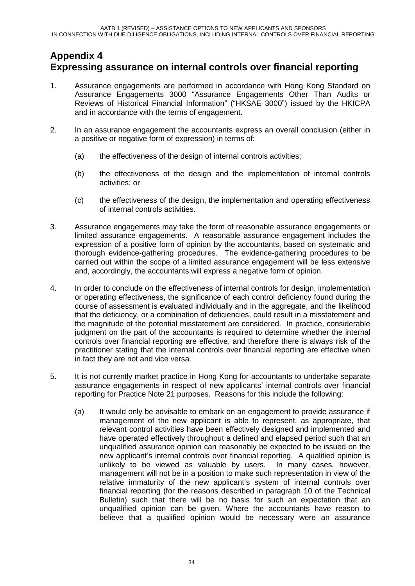## **Appendix 4 Expressing assurance on internal controls over financial reporting**

- 1. Assurance engagements are performed in accordance with Hong Kong Standard on Assurance Engagements 3000 "Assurance Engagements Other Than Audits or Reviews of Historical Financial Information" ("HKSAE 3000") issued by the HKICPA and in accordance with the terms of engagement.
- 2. In an assurance engagement the accountants express an overall conclusion (either in a positive or negative form of expression) in terms of:
	- (a) the effectiveness of the design of internal controls activities;
	- (b) the effectiveness of the design and the implementation of internal controls activities; or
	- (c) the effectiveness of the design, the implementation and operating effectiveness of internal controls activities.
- 3. Assurance engagements may take the form of reasonable assurance engagements or limited assurance engagements. A reasonable assurance engagement includes the expression of a positive form of opinion by the accountants, based on systematic and thorough evidence-gathering procedures. The evidence-gathering procedures to be carried out within the scope of a limited assurance engagement will be less extensive and, accordingly, the accountants will express a negative form of opinion.
- 4. In order to conclude on the effectiveness of internal controls for design, implementation or operating effectiveness, the significance of each control deficiency found during the course of assessment is evaluated individually and in the aggregate, and the likelihood that the deficiency, or a combination of deficiencies, could result in a misstatement and the magnitude of the potential misstatement are considered. In practice, considerable judgment on the part of the accountants is required to determine whether the internal controls over financial reporting are effective, and therefore there is always risk of the practitioner stating that the internal controls over financial reporting are effective when in fact they are not and vice versa.
- 5. It is not currently market practice in Hong Kong for accountants to undertake separate assurance engagements in respect of new applicants' internal controls over financial reporting for Practice Note 21 purposes. Reasons for this include the following:
	- (a) It would only be advisable to embark on an engagement to provide assurance if management of the new applicant is able to represent, as appropriate, that relevant control activities have been effectively designed and implemented and have operated effectively throughout a defined and elapsed period such that an unqualified assurance opinion can reasonably be expected to be issued on the new applicant's internal controls over financial reporting. A qualified opinion is unlikely to be viewed as valuable by users. In many cases, however, management will not be in a position to make such representation in view of the relative immaturity of the new applicant's system of internal controls over financial reporting (for the reasons described in paragraph 10 of the Technical Bulletin) such that there will be no basis for such an expectation that an unqualified opinion can be given. Where the accountants have reason to believe that a qualified opinion would be necessary were an assurance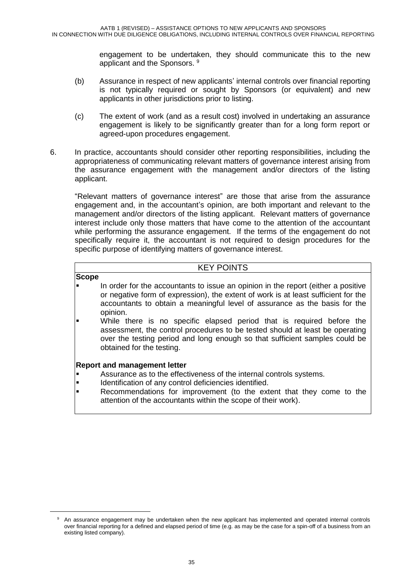engagement to be undertaken, they should communicate this to the new applicant and the Sponsors.<sup>9</sup>

- (b) Assurance in respect of new applicants' internal controls over financial reporting is not typically required or sought by Sponsors (or equivalent) and new applicants in other jurisdictions prior to listing.
- (c) The extent of work (and as a result cost) involved in undertaking an assurance engagement is likely to be significantly greater than for a long form report or agreed-upon procedures engagement.
- 6. In practice, accountants should consider other reporting responsibilities, including the appropriateness of communicating relevant matters of governance interest arising from the assurance engagement with the management and/or directors of the listing applicant.

"Relevant matters of governance interest" are those that arise from the assurance engagement and, in the accountant's opinion, are both important and relevant to the management and/or directors of the listing applicant. Relevant matters of governance interest include only those matters that have come to the attention of the accountant while performing the assurance engagement. If the terms of the engagement do not specifically require it, the accountant is not required to design procedures for the specific purpose of identifying matters of governance interest.

#### KEY POINTS

#### **Scope**

-

- In order for the accountants to issue an opinion in the report (either a positive or negative form of expression), the extent of work is at least sufficient for the accountants to obtain a meaningful level of assurance as the basis for the opinion.
- While there is no specific elapsed period that is required before the assessment, the control procedures to be tested should at least be operating over the testing period and long enough so that sufficient samples could be obtained for the testing.

#### **Report and management letter**

- Assurance as to the effectiveness of the internal controls systems.
- Identification of any control deficiencies identified.
- Recommendations for improvement (to the extent that they come to the attention of the accountants within the scope of their work).

An assurance engagement may be undertaken when the new applicant has implemented and operated internal controls over financial reporting for a defined and elapsed period of time (e.g. as may be the case for a spin-off of a business from an existing listed company).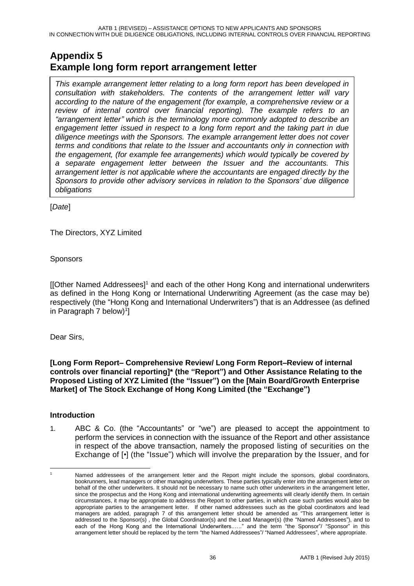## **Appendix 5 Example long form report arrangement letter**

*This example arrangement letter relating to a long form report has been developed in consultation with stakeholders. The contents of the arrangement letter will vary according to the nature of the engagement (for example, a comprehensive review or a review of internal control over financial reporting). The example refers to an "arrangement letter" which is the terminology more commonly adopted to describe an engagement letter issued in respect to a long form report and the taking part in due diligence meetings with the Sponsors. The example arrangement letter does not cover terms and conditions that relate to the Issuer and accountants only in connection with the engagement, (for example fee arrangements) which would typically be covered by a separate engagement letter between the Issuer and the accountants. This arrangement letter is not applicable where the accountants are engaged directly by the Sponsors to provide other advisory services in relation to the Sponsors' due diligence obligations*

[*Date*]

The Directors, XYZ Limited

Sponsors

[[Other Named Addressees]<sup>1</sup> and each of the other Hong Kong and international underwriters as defined in the Hong Kong or International Underwriting Agreement (as the case may be) respectively (the "Hong Kong and International Underwriters") that is an Addressee (as defined in Paragraph 7 below) $1$ ]

Dear Sirs,

**[Long Form Report– Comprehensive Review/ Long Form Report–Review of internal controls over financial reporting]\* (the "Report") and Other Assistance Relating to the Proposed Listing of XYZ Limited (the "Issuer") on the [Main Board/Growth Enterprise Market] of The Stock Exchange of Hong Kong Limited (the "Exchange")**

#### **Introduction**

1. ABC & Co. (the "Accountants" or "we") are pleased to accept the appointment to perform the services in connection with the issuance of the Report and other assistance in respect of the above transaction, namely the proposed listing of securities on the Exchange of [•] (the "Issue") which will involve the preparation by the Issuer, and for

<sup>-</sup>Named addressees of the arrangement letter and the Report might include the sponsors, global coordinators, bookrunners, lead managers or other managing underwriters. These parties typically enter into the arrangement letter on behalf of the other underwriters. It should not be necessary to name such other underwriters in the arrangement letter, since the prospectus and the Hong Kong and international underwriting agreements will clearly identify them. In certain circumstances, it may be appropriate to address the Report to other parties, in which case such parties would also be appropriate parties to the arrangement letter. If other named addressees such as the global coordinators and lead managers are added, paragraph 7 of this arrangement letter should be amended as "This arrangement letter is addressed to the Sponsor(s) , the Global Coordinator(s) and the Lead Manager(s) (the "Named Addressees"), and to each of the Hong Kong and the International Underwriters..…." and the term "the Sponsor"/ "Sponsor" in this arrangement letter should be replaced by the term "the Named Addressees"/ "Named Addressees", where appropriate.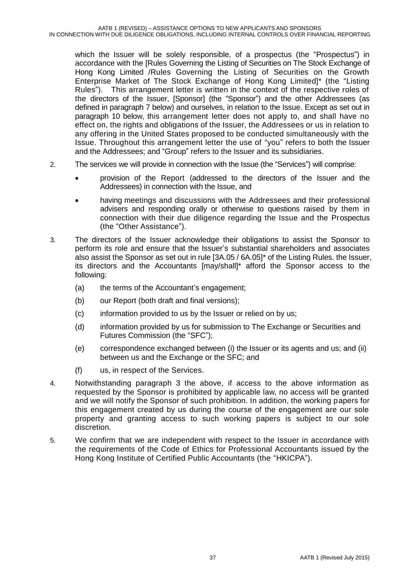which the Issuer will be solely responsible, of a prospectus (the "Prospectus") in accordance with the [Rules Governing the Listing of Securities on The Stock Exchange of Hong Kong Limited /Rules Governing the Listing of Securities on the Growth Enterprise Market of The Stock Exchange of Hong Kong Limited]\* (the "Listing Rules"). This arrangement letter is written in the context of the respective roles of the directors of the Issuer, [Sponsor] (the "Sponsor") and the other Addressees (as defined in paragraph 7 below) and ourselves, in relation to the Issue. Except as set out in paragraph 10 below, this arrangement letter does not apply to, and shall have no effect on, the rights and obligations of the Issuer, the Addressees or us in relation to any offering in the United States proposed to be conducted simultaneously with the Issue. Throughout this arrangement letter the use of "you" refers to both the Issuer and the Addressees; and "Group" refers to the Issuer and its subsidiaries.

- 2. The services we will provide in connection with the Issue (the "Services") will comprise:
	- provision of the Report (addressed to the directors of the Issuer and the Addressees) in connection with the Issue, and
	- having meetings and discussions with the Addressees and their professional advisers and responding orally or otherwise to questions raised by them in connection with their due diligence regarding the Issue and the Prospectus (the "Other Assistance").
- 3. The directors of the Issuer acknowledge their obligations to assist the Sponsor to perform its role and ensure that the Issuer's substantial shareholders and associates also assist the Sponsor as set out in rule [3A.05 / 6A.05]\* of the Listing Rules. the Issuer, its directors and the Accountants [may/shall]\* afford the Sponsor access to the following:
	- (a) the terms of the Accountant's engagement;
	- (b) our Report (both draft and final versions);
	- (c) information provided to us by the Issuer or relied on by us;
	- (d) information provided by us for submission to The Exchange or Securities and Futures Commission (the "SFC");
	- (e) correspondence exchanged between (i) the Issuer or its agents and us; and (ii) between us and the Exchange or the SFC; and
	- (f) us, in respect of the Services.
- 4. Notwithstanding paragraph 3 the above, if access to the above information as requested by the Sponsor is prohibited by applicable law, no access will be granted and we will notify the Sponsor of such prohibition. In addition, the working papers for this engagement created by us during the course of the engagement are our sole property and granting access to such working papers is subject to our sole discretion.
- 5. We confirm that we are independent with respect to the Issuer in accordance with the requirements of the Code of Ethics for Professional Accountants issued by the Hong Kong Institute of Certified Public Accountants (the "HKICPA").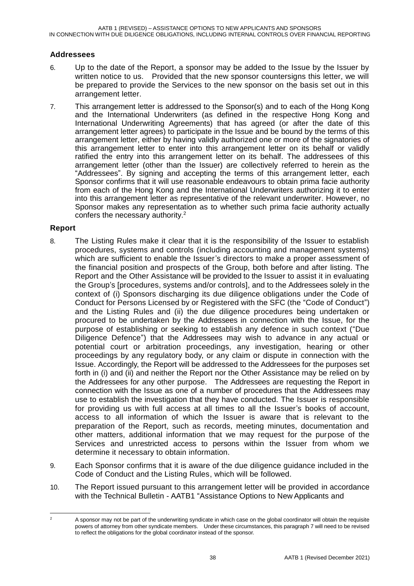AATB 1 (REVISED) – ASSISTANCE OPTIONS TO NEW APPLICANTS AND SPONSORS IN CONNECTION WITH DUE DILIGENCE OBLIGATIONS, INCLUDING INTERNAL CONTROLS OVER FINANCIAL REPORTING

#### **Addressees**

- 6. Up to the date of the Report, a sponsor may be added to the Issue by the Issuer by written notice to us. Provided that the new sponsor countersigns this letter, we will be prepared to provide the Services to the new sponsor on the basis set out in this arrangement letter.
- 7. This arrangement letter is addressed to the Sponsor(s) and to each of the Hong Kong and the International Underwriters (as defined in the respective Hong Kong and International Underwriting Agreements) that has agreed (or after the date of this arrangement letter agrees) to participate in the Issue and be bound by the terms of this arrangement letter, either by having validly authorized one or more of the signatories of this arrangement letter to enter into this arrangement letter on its behalf or validly ratified the entry into this arrangement letter on its behalf. The addressees of this arrangement letter (other than the Issuer) are collectively referred to herein as the "Addressees". By signing and accepting the terms of this arrangement letter, each Sponsor confirms that it will use reasonable endeavours to obtain prima facie authority from each of the Hong Kong and the International Underwriters authorizing it to enter into this arrangement letter as representative of the relevant underwriter. However, no Sponsor makes any representation as to whether such prima facie authority actually confers the necessary authority.<sup>2</sup>

#### **Report**

- 8. The Listing Rules make it clear that it is the responsibility of the Issuer to establish procedures, systems and controls (including accounting and management systems) which are sufficient to enable the Issuer's directors to make a proper assessment of the financial position and prospects of the Group, both before and after listing. The Report and the Other Assistance will be provided to the Issuer to assist it in evaluating the Group's [procedures, systems and/or controls], and to the Addressees solely in the context of (i) Sponsors discharging its due diligence obligations under the Code of Conduct for Persons Licensed by or Registered with the SFC (the "Code of Conduct") and the Listing Rules and (ii) the due diligence procedures being undertaken or procured to be undertaken by the Addressees in connection with the Issue, for the purpose of establishing or seeking to establish any defence in such context ("Due Diligence Defence") that the Addressees may wish to advance in any actual or potential court or arbitration proceedings, any investigation, hearing or other proceedings by any regulatory body, or any claim or dispute in connection with the Issue. Accordingly, the Report will be addressed to the Addressees for the purposes set forth in (i) and (ii) and neither the Report nor the Other Assistance may be relied on by the Addressees for any other purpose. The Addressees are requesting the Report in connection with the Issue as one of a number of procedures that the Addressees may use to establish the investigation that they have conducted. The Issuer is responsible for providing us with full access at all times to all the Issuer's books of account, access to all information of which the Issuer is aware that is relevant to the preparation of the Report, such as records, meeting minutes, documentation and other matters, additional information that we may request for the purpose of the Services and unrestricted access to persons within the Issuer from whom we determine it necessary to obtain information.
- 9. Each Sponsor confirms that it is aware of the due diligence guidance included in the Code of Conduct and the Listing Rules, which will be followed.
- 10. The Report issued pursuant to this arrangement letter will be provided in accordance with the Technical Bulletin - AATB1 "Assistance Options to New Applicants and

 $\overline{a}$ <sup>2</sup> A sponsor may not be part of the underwriting syndicate in which case on the global coordinator will obtain the requisite powers of attorney from other syndicate members. Under these circumstances, this paragraph 7 will need to be revised to reflect the obligations for the global coordinator instead of the sponsor.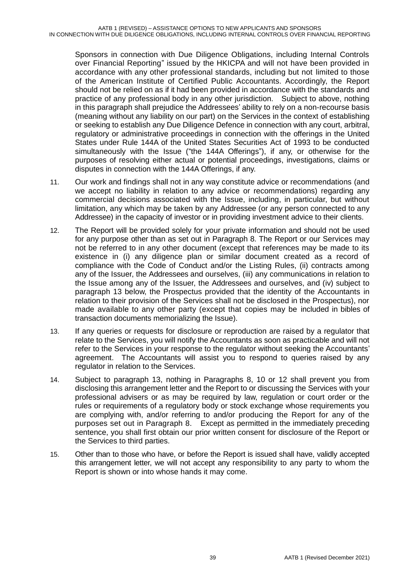Sponsors in connection with Due Diligence Obligations, including Internal Controls over Financial Reporting" issued by the HKICPA and will not have been provided in accordance with any other professional standards, including but not limited to those of the American Institute of Certified Public Accountants. Accordingly, the Report should not be relied on as if it had been provided in accordance with the standards and practice of any professional body in any other jurisdiction. Subject to above, nothing in this paragraph shall prejudice the Addressees' ability to rely on a non-recourse basis (meaning without any liability on our part) on the Services in the context of establishing or seeking to establish any Due Diligence Defence in connection with any court, arbitral, regulatory or administrative proceedings in connection with the offerings in the United States under Rule 144A of the United States Securities Act of 1993 to be conducted simultaneously with the Issue ("the 144A Offerings"), if any, or otherwise for the purposes of resolving either actual or potential proceedings, investigations, claims or disputes in connection with the 144A Offerings, if any.

- 11. Our work and findings shall not in any way constitute advice or recommendations (and we accept no liability in relation to any advice or recommendations) regarding any commercial decisions associated with the Issue, including, in particular, but without limitation, any which may be taken by any Addressee (or any person connected to any Addressee) in the capacity of investor or in providing investment advice to their clients.
- 12. The Report will be provided solely for your private information and should not be used for any purpose other than as set out in Paragraph 8. The Report or our Services may not be referred to in any other document (except that references may be made to its existence in (i) any diligence plan or similar document created as a record of compliance with the Code of Conduct and/or the Listing Rules, (ii) contracts among any of the Issuer, the Addressees and ourselves, (iii) any communications in relation to the Issue among any of the Issuer, the Addressees and ourselves, and (iv) subject to paragraph 13 below, the Prospectus provided that the identity of the Accountants in relation to their provision of the Services shall not be disclosed in the Prospectus), nor made available to any other party (except that copies may be included in bibles of transaction documents memorializing the Issue).
- 13. If any queries or requests for disclosure or reproduction are raised by a regulator that relate to the Services, you will notify the Accountants as soon as practicable and will not refer to the Services in your response to the regulator without seeking the Accountants' agreement. The Accountants will assist you to respond to queries raised by any regulator in relation to the Services.
- 14. Subject to paragraph 13, nothing in Paragraphs 8, 10 or 12 shall prevent you from disclosing this arrangement letter and the Report to or discussing the Services with your professional advisers or as may be required by law, regulation or court order or the rules or requirements of a regulatory body or stock exchange whose requirements you are complying with, and/or referring to and/or producing the Report for any of the purposes set out in Paragraph 8. Except as permitted in the immediately preceding sentence, you shall first obtain our prior written consent for disclosure of the Report or the Services to third parties.
- 15. Other than to those who have, or before the Report is issued shall have, validly accepted this arrangement letter, we will not accept any responsibility to any party to whom the Report is shown or into whose hands it may come.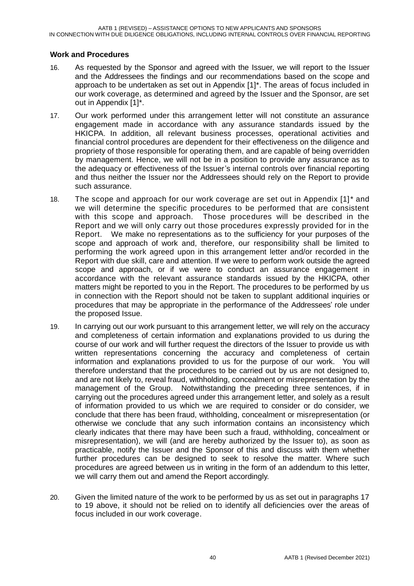#### **Work and Procedures**

- 16. As requested by the Sponsor and agreed with the Issuer, we will report to the Issuer and the Addressees the findings and our recommendations based on the scope and approach to be undertaken as set out in Appendix [1]\*. The areas of focus included in our work coverage, as determined and agreed by the Issuer and the Sponsor, are set out in Appendix [1]\*.
- 17. Our work performed under this arrangement letter will not constitute an assurance engagement made in accordance with any assurance standards issued by the HKICPA. In addition, all relevant business processes, operational activities and financial control procedures are dependent for their effectiveness on the diligence and propriety of those responsible for operating them, and are capable of being overridden by management. Hence, we will not be in a position to provide any assurance as to the adequacy or effectiveness of the Issuer's internal controls over financial reporting and thus neither the Issuer nor the Addressees should rely on the Report to provide such assurance.
- 18. The scope and approach for our work coverage are set out in Appendix [1]\* and we will determine the specific procedures to be performed that are consistent with this scope and approach. Those procedures will be described in the Report and we will only carry out those procedures expressly provided for in the Report. We make no representations as to the sufficiency for your purposes of the scope and approach of work and, therefore, our responsibility shall be limited to performing the work agreed upon in this arrangement letter and/or recorded in the Report with due skill, care and attention. If we were to perform work outside the agreed scope and approach, or if we were to conduct an assurance engagement in accordance with the relevant assurance standards issued by the HKICPA, other matters might be reported to you in the Report. The procedures to be performed by us in connection with the Report should not be taken to supplant additional inquiries or procedures that may be appropriate in the performance of the Addressees' role under the proposed Issue.
- 19. In carrying out our work pursuant to this arrangement letter, we will rely on the accuracy and completeness of certain information and explanations provided to us during the course of our work and will further request the directors of the Issuer to provide us with written representations concerning the accuracy and completeness of certain information and explanations provided to us for the purpose of our work. You will therefore understand that the procedures to be carried out by us are not designed to, and are not likely to, reveal fraud, withholding, concealment or misrepresentation by the management of the Group. Notwithstanding the preceding three sentences, if in carrying out the procedures agreed under this arrangement letter, and solely as a result of information provided to us which we are required to consider or do consider, we conclude that there has been fraud, withholding, concealment or misrepresentation (or otherwise we conclude that any such information contains an inconsistency which clearly indicates that there may have been such a fraud, withholding, concealment or misrepresentation), we will (and are hereby authorized by the Issuer to), as soon as practicable, notify the Issuer and the Sponsor of this and discuss with them whether further procedures can be designed to seek to resolve the matter. Where such procedures are agreed between us in writing in the form of an addendum to this letter, we will carry them out and amend the Report accordingly.
- 20. Given the limited nature of the work to be performed by us as set out in paragraphs 17 to 19 above, it should not be relied on to identify all deficiencies over the areas of focus included in our work coverage.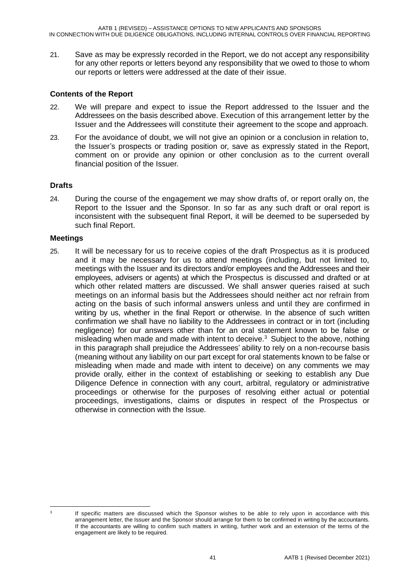21. Save as may be expressly recorded in the Report, we do not accept any responsibility for any other reports or letters beyond any responsibility that we owed to those to whom our reports or letters were addressed at the date of their issue.

#### **Contents of the Report**

- 22. We will prepare and expect to issue the Report addressed to the Issuer and the Addressees on the basis described above. Execution of this arrangement letter by the Issuer and the Addressees will constitute their agreement to the scope and approach.
- 23. For the avoidance of doubt, we will not give an opinion or a conclusion in relation to, the Issuer's prospects or trading position or, save as expressly stated in the Report, comment on or provide any opinion or other conclusion as to the current overall financial position of the Issuer.

#### **Drafts**

24. During the course of the engagement we may show drafts of, or report orally on, the Report to the Issuer and the Sponsor. In so far as any such draft or oral report is inconsistent with the subsequent final Report, it will be deemed to be superseded by such final Report.

#### **Meetings**

25. It will be necessary for us to receive copies of the draft Prospectus as it is produced and it may be necessary for us to attend meetings (including, but not limited to, meetings with the Issuer and its directors and/or employees and the Addressees and their employees, advisers or agents) at which the Prospectus is discussed and drafted or at which other related matters are discussed. We shall answer queries raised at such meetings on an informal basis but the Addressees should neither act nor refrain from acting on the basis of such informal answers unless and until they are confirmed in writing by us, whether in the final Report or otherwise. In the absence of such written confirmation we shall have no liability to the Addressees in contract or in tort (including negligence) for our answers other than for an oral statement known to be false or misleading when made and made with intent to deceive.<sup>3</sup> Subject to the above, nothing in this paragraph shall prejudice the Addressees' ability to rely on a non-recourse basis (meaning without any liability on our part except for oral statements known to be false or misleading when made and made with intent to deceive) on any comments we may provide orally, either in the context of establishing or seeking to establish any Due Diligence Defence in connection with any court, arbitral, regulatory or administrative proceedings or otherwise for the purposes of resolving either actual or potential proceedings, investigations, claims or disputes in respect of the Prospectus or otherwise in connection with the Issue.

 $\frac{1}{3}$ 

If specific matters are discussed which the Sponsor wishes to be able to rely upon in accordance with this arrangement letter, the Issuer and the Sponsor should arrange for them to be confirmed in writing by the accountants. If the accountants are willing to confirm such matters in writing, further work and an extension of the terms of the engagement are likely to be required.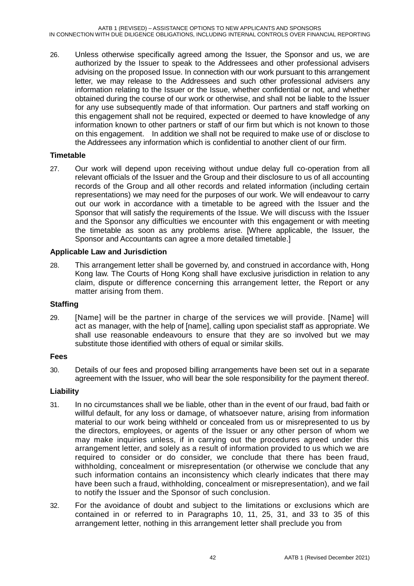26. Unless otherwise specifically agreed among the Issuer, the Sponsor and us, we are authorized by the Issuer to speak to the Addressees and other professional advisers advising on the proposed Issue. In connection with our work pursuant to this arrangement letter, we may release to the Addressees and such other professional advisers any information relating to the Issuer or the Issue, whether confidential or not, and whether obtained during the course of our work or otherwise, and shall not be liable to the Issuer for any use subsequently made of that information. Our partners and staff working on this engagement shall not be required, expected or deemed to have knowledge of any information known to other partners or staff of our firm but which is not known to those on this engagement. In addition we shall not be required to make use of or disclose to the Addressees any information which is confidential to another client of our firm.

#### **Timetable**

27. Our work will depend upon receiving without undue delay full co-operation from all relevant officials of the Issuer and the Group and their disclosure to us of all accounting records of the Group and all other records and related information (including certain representations) we may need for the purposes of our work. We will endeavour to carry out our work in accordance with a timetable to be agreed with the Issuer and the Sponsor that will satisfy the requirements of the Issue. We will discuss with the Issuer and the Sponsor any difficulties we encounter with this engagement or with meeting the timetable as soon as any problems arise. [Where applicable, the Issuer, the Sponsor and Accountants can agree a more detailed timetable.]

#### **Applicable Law and Jurisdiction**

28. This arrangement letter shall be governed by, and construed in accordance with, Hong Kong law. The Courts of Hong Kong shall have exclusive jurisdiction in relation to any claim, dispute or difference concerning this arrangement letter, the Report or any matter arising from them.

#### **Staffing**

29. [Name] will be the partner in charge of the services we will provide. [Name] will act as manager, with the help of [name], calling upon specialist staff as appropriate. We shall use reasonable endeavours to ensure that they are so involved but we may substitute those identified with others of equal or similar skills.

#### **Fees**

30. Details of our fees and proposed billing arrangements have been set out in a separate agreement with the Issuer, who will bear the sole responsibility for the payment thereof.

#### **Liability**

- 31. In no circumstances shall we be liable, other than in the event of our fraud, bad faith or willful default, for any loss or damage, of whatsoever nature, arising from information material to our work being withheld or concealed from us or misrepresented to us by the directors, employees, or agents of the Issuer or any other person of whom we may make inquiries unless, if in carrying out the procedures agreed under this arrangement letter, and solely as a result of information provided to us which we are required to consider or do consider, we conclude that there has been fraud, withholding, concealment or misrepresentation (or otherwise we conclude that any such information contains an inconsistency which clearly indicates that there may have been such a fraud, withholding, concealment or misrepresentation), and we fail to notify the Issuer and the Sponsor of such conclusion.
- 32. For the avoidance of doubt and subject to the limitations or exclusions which are contained in or referred to in Paragraphs 10, 11, 25, 31, and 33 to 35 of this arrangement letter, nothing in this arrangement letter shall preclude you from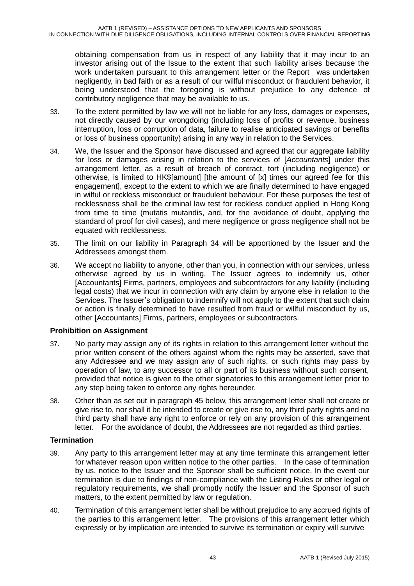obtaining compensation from us in respect of any liability that it may incur to an investor arising out of the Issue to the extent that such liability arises because the work undertaken pursuant to this arrangement letter or the Report was undertaken negligently, in bad faith or as a result of our willful misconduct or fraudulent behavior, it being understood that the foregoing is without prejudice to any defence of contributory negligence that may be available to us.

- 33. To the extent permitted by law we will not be liable for any loss, damages or expenses, not directly caused by our wrongdoing (including loss of profits or revenue, business interruption, loss or corruption of data, failure to realise anticipated savings or benefits or loss of business opportunity) arising in any way in relation to the Services.
- 34. We, the Issuer and the Sponsor have discussed and agreed that our aggregate liability for loss or damages arising in relation to the services of [*Accountants*] under this arrangement letter, as a result of breach of contract, tort (including negligence) or otherwise, is limited to HK\$[amount] [the amount of [x] times our agreed fee for this engagement], except to the extent to which we are finally determined to have engaged in wilful or reckless misconduct or fraudulent behaviour. For these purposes the test of recklessness shall be the criminal law test for reckless conduct applied in Hong Kong from time to time (mutatis mutandis, and, for the avoidance of doubt, applying the standard of proof for civil cases), and mere negligence or gross negligence shall not be equated with recklessness.
- 35. The limit on our liability in Paragraph 34 will be apportioned by the Issuer and the Addressees amongst them.
- 36. We accept no liability to anyone, other than you, in connection with our services, unless otherwise agreed by us in writing. The Issuer agrees to indemnify us, other [Accountants] Firms, partners, employees and subcontractors for any liability (including legal costs) that we incur in connection with any claim by anyone else in relation to the Services. The Issuer's obligation to indemnify will not apply to the extent that such claim or action is finally determined to have resulted from fraud or willful misconduct by us, other [Accountants] Firms, partners, employees or subcontractors.

#### **Prohibition on Assignment**

- 37. No party may assign any of its rights in relation to this arrangement letter without the prior written consent of the others against whom the rights may be asserted, save that any Addressee and we may assign any of such rights, or such rights may pass by operation of law, to any successor to all or part of its business without such consent, provided that notice is given to the other signatories to this arrangement letter prior to any step being taken to enforce any rights hereunder.
- 38. Other than as set out in paragraph 45 below, this arrangement letter shall not create or give rise to, nor shall it be intended to create or give rise to, any third party rights and no third party shall have any right to enforce or rely on any provision of this arrangement letter. For the avoidance of doubt, the Addressees are not regarded as third parties.

#### **Termination**

- 39. Any party to this arrangement letter may at any time terminate this arrangement letter for whatever reason upon written notice to the other parties. In the case of termination by us, notice to the Issuer and the Sponsor shall be sufficient notice. In the event our termination is due to findings of non-compliance with the Listing Rules or other legal or regulatory requirements, we shall promptly notify the Issuer and the Sponsor of such matters, to the extent permitted by law or regulation.
- 40. Termination of this arrangement letter shall be without prejudice to any accrued rights of the parties to this arrangement letter. The provisions of this arrangement letter which expressly or by implication are intended to survive its termination or expiry will survive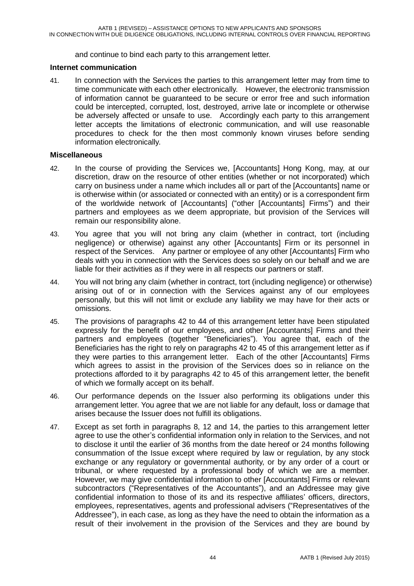and continue to bind each party to this arrangement letter.

#### **Internet communication**

41. In connection with the Services the parties to this arrangement letter may from time to time communicate with each other electronically. However, the electronic transmission of information cannot be guaranteed to be secure or error free and such information could be intercepted, corrupted, lost, destroyed, arrive late or incomplete or otherwise be adversely affected or unsafe to use. Accordingly each party to this arrangement letter accepts the limitations of electronic communication, and will use reasonable procedures to check for the then most commonly known viruses before sending information electronically.

#### **Miscellaneous**

- 42. In the course of providing the Services we, [Accountants] Hong Kong, may, at our discretion, draw on the resource of other entities (whether or not incorporated) which carry on business under a name which includes all or part of the [Accountants] name or is otherwise within (or associated or connected with an entity) or is a correspondent firm of the worldwide network of [Accountants] ("other [Accountants] Firms") and their partners and employees as we deem appropriate, but provision of the Services will remain our responsibility alone.
- 43. You agree that you will not bring any claim (whether in contract, tort (including negligence) or otherwise) against any other [Accountants] Firm or its personnel in respect of the Services. Any partner or employee of any other [Accountants] Firm who deals with you in connection with the Services does so solely on our behalf and we are liable for their activities as if they were in all respects our partners or staff.
- 44. You will not bring any claim (whether in contract, tort (including negligence) or otherwise) arising out of or in connection with the Services against any of our employees personally, but this will not limit or exclude any liability we may have for their acts or omissions.
- 45. The provisions of paragraphs 42 to 44 of this arrangement letter have been stipulated expressly for the benefit of our employees, and other [Accountants] Firms and their partners and employees (together "Beneficiaries"). You agree that, each of the Beneficiaries has the right to rely on paragraphs 42 to 45 of this arrangement letter as if they were parties to this arrangement letter. Each of the other [Accountants] Firms which agrees to assist in the provision of the Services does so in reliance on the protections afforded to it by paragraphs 42 to 45 of this arrangement letter, the benefit of which we formally accept on its behalf.
- 46. Our performance depends on the Issuer also performing its obligations under this arrangement letter. You agree that we are not liable for any default, loss or damage that arises because the Issuer does not fulfill its obligations.
- 47. Except as set forth in paragraphs 8, 12 and 14, the parties to this arrangement letter agree to use the other's confidential information only in relation to the Services, and not to disclose it until the earlier of 36 months from the date hereof or 24 months following consummation of the Issue except where required by law or regulation, by any stock exchange or any regulatory or governmental authority, or by any order of a court or tribunal, or where requested by a professional body of which we are a member. However, we may give confidential information to other [Accountants] Firms or relevant subcontractors ("Representatives of the Accountants"), and an Addressee may give confidential information to those of its and its respective affiliates' officers, directors, employees, representatives, agents and professional advisers ("Representatives of the Addressee"), in each case, as long as they have the need to obtain the information as a result of their involvement in the provision of the Services and they are bound by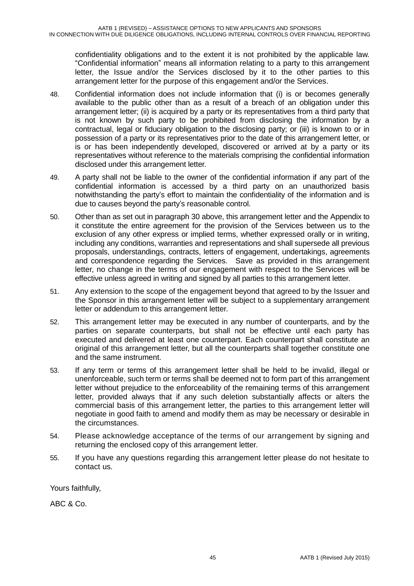confidentiality obligations and to the extent it is not prohibited by the applicable law. "Confidential information" means all information relating to a party to this arrangement letter, the Issue and/or the Services disclosed by it to the other parties to this arrangement letter for the purpose of this engagement and/or the Services.

- 48. Confidential information does not include information that (i) is or becomes generally available to the public other than as a result of a breach of an obligation under this arrangement letter; (ii) is acquired by a party or its representatives from a third party that is not known by such party to be prohibited from disclosing the information by a contractual, legal or fiduciary obligation to the disclosing party; or (iii) is known to or in possession of a party or its representatives prior to the date of this arrangement letter, or is or has been independently developed, discovered or arrived at by a party or its representatives without reference to the materials comprising the confidential information disclosed under this arrangement letter.
- 49. A party shall not be liable to the owner of the confidential information if any part of the confidential information is accessed by a third party on an unauthorized basis notwithstanding the party's effort to maintain the confidentiality of the information and is due to causes beyond the party's reasonable control.
- 50. Other than as set out in paragraph 30 above, this arrangement letter and the Appendix to it constitute the entire agreement for the provision of the Services between us to the exclusion of any other express or implied terms, whether expressed orally or in writing, including any conditions, warranties and representations and shall supersede all previous proposals, understandings, contracts, letters of engagement, undertakings, agreements and correspondence regarding the Services. Save as provided in this arrangement letter, no change in the terms of our engagement with respect to the Services will be effective unless agreed in writing and signed by all parties to this arrangement letter.
- 51. Any extension to the scope of the engagement beyond that agreed to by the Issuer and the Sponsor in this arrangement letter will be subject to a supplementary arrangement letter or addendum to this arrangement letter.
- 52. This arrangement letter may be executed in any number of counterparts, and by the parties on separate counterparts, but shall not be effective until each party has executed and delivered at least one counterpart. Each counterpart shall constitute an original of this arrangement letter, but all the counterparts shall together constitute one and the same instrument.
- 53. If any term or terms of this arrangement letter shall be held to be invalid, illegal or unenforceable, such term or terms shall be deemed not to form part of this arrangement letter without prejudice to the enforceability of the remaining terms of this arrangement letter, provided always that if any such deletion substantially affects or alters the commercial basis of this arrangement letter, the parties to this arrangement letter will negotiate in good faith to amend and modify them as may be necessary or desirable in the circumstances.
- 54. Please acknowledge acceptance of the terms of our arrangement by signing and returning the enclosed copy of this arrangement letter.
- 55. If you have any questions regarding this arrangement letter please do not hesitate to contact us.

Yours faithfully,

ABC & Co.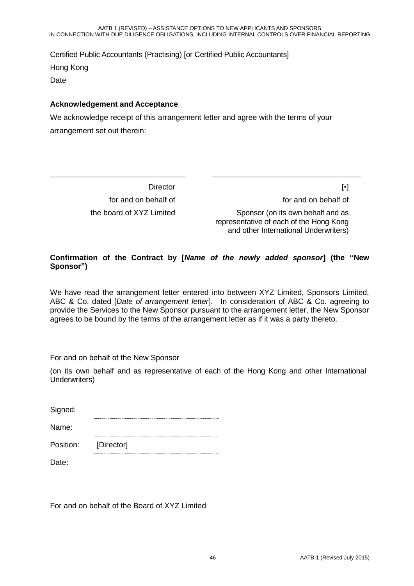Certified Public Accountants (Practising) [or Certified Public Accountants] Hong Kong Date

#### **Acknowledgement and Acceptance**

**\_\_\_\_\_\_\_\_\_\_\_\_\_\_\_\_\_\_\_\_\_\_\_\_\_\_\_\_\_\_\_\_**

We acknowledge receipt of this arrangement letter and agree with the terms of your arrangement set out therein:

> **Director** for and on behalf of the board of XYZ Limited

[•] for and on behalf of

Sponsor (on its own behalf and as representative of each of the Hong Kong and other International Underwriters)

**\_\_\_\_\_\_\_\_\_\_\_\_\_\_\_\_\_\_\_\_\_\_\_\_\_\_\_\_\_\_\_\_\_\_\_**

#### **Confirmation of the Contract by [***Name of the newly added sponsor***] (the "New Sponsor")**

We have read the arrangement letter entered into between XYZ Limited, Sponsors Limited, ABC & Co. dated [*Date of arrangement letter*]. In consideration of ABC & Co. agreeing to provide the Services to the New Sponsor pursuant to the arrangement letter, the New Sponsor agrees to be bound by the terms of the arrangement letter as if it was a party thereto.

For and on behalf of the New Sponsor

(on its own behalf and as representative of each of the Hong Kong and other International Underwriters)

| Signed:   |            |
|-----------|------------|
| Name:     |            |
| Position: | [Director] |
| Date:     |            |

For and on behalf of the Board of XYZ Limited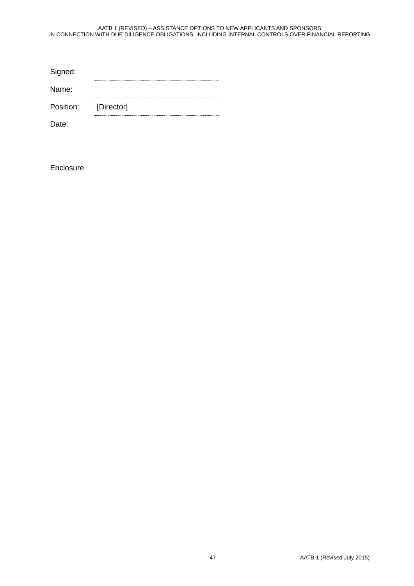| Signed:   |            |
|-----------|------------|
| Name:     |            |
| Position: | [Director] |
| Date:     |            |
|           |            |

Enclosure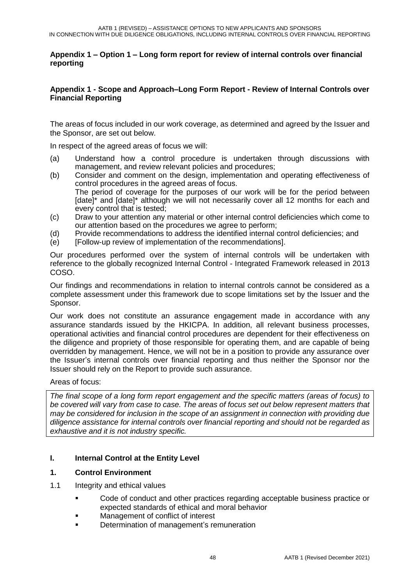#### **Appendix 1 – Option 1 – Long form report for review of internal controls over financial reporting**

#### **Appendix 1 - Scope and Approach–Long Form Report - Review of Internal Controls over Financial Reporting**

The areas of focus included in our work coverage, as determined and agreed by the Issuer and the Sponsor, are set out below.

In respect of the agreed areas of focus we will:

- (a) Understand how a control procedure is undertaken through discussions with management, and review relevant policies and procedures;
- (b) Consider and comment on the design, implementation and operating effectiveness of control procedures in the agreed areas of focus. The period of coverage for the purposes of our work will be for the period between [date]\* and [date]\* although we will not necessarily cover all 12 months for each and every control that is tested;
- (c) Draw to your attention any material or other internal control deficiencies which come to our attention based on the procedures we agree to perform;
- (d) Provide recommendations to address the identified internal control deficiencies; and
- $\overline{e}$  [Follow-up review of implementation of the recommendations].

Our procedures performed over the system of internal controls will be undertaken with reference to the globally recognized Internal Control - Integrated Framework released in 2013 COSO.

Our findings and recommendations in relation to internal controls cannot be considered as a complete assessment under this framework due to scope limitations set by the Issuer and the Sponsor.

Our work does not constitute an assurance engagement made in accordance with any assurance standards issued by the HKICPA. In addition, all relevant business processes, operational activities and financial control procedures are dependent for their effectiveness on the diligence and propriety of those responsible for operating them, and are capable of being overridden by management. Hence, we will not be in a position to provide any assurance over the Issuer's internal controls over financial reporting and thus neither the Sponsor nor the Issuer should rely on the Report to provide such assurance.

Areas of focus:

*The final scope of a long form report engagement and the specific matters (areas of focus) to be covered will vary from case to case. The areas of focus set out below represent matters that may be considered for inclusion in the scope of an assignment in connection with providing due diligence assistance for internal controls over financial reporting and should not be regarded as exhaustive and it is not industry specific.*

#### **I. Internal Control at the Entity Level**

#### **1. Control Environment**

- 1.1 Integrity and ethical values
	- Code of conduct and other practices regarding acceptable business practice or expected standards of ethical and moral behavior
	- Management of conflict of interest
	- Determination of management's remuneration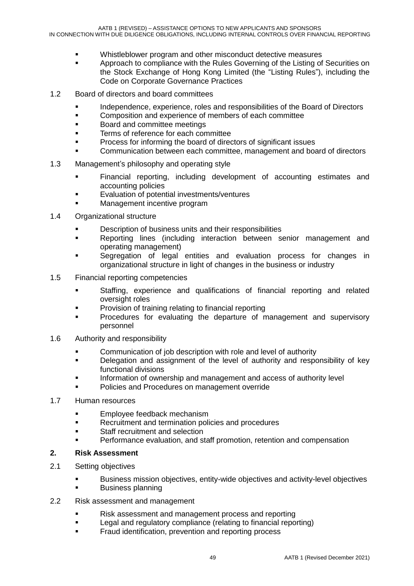- Whistleblower program and other misconduct detective measures
- **Approach to compliance with the Rules Governing of the Listing of Securities on** the Stock Exchange of Hong Kong Limited (the "Listing Rules"), including the Code on Corporate Governance Practices
- 1.2 Board of directors and board committees
	- Independence, experience, roles and responsibilities of the Board of Directors
	- **EXECOMPOSITED And EXPERIENCE OF MEMBERS OF EACH COMMUNIST**
	- **Board and committee meetings**
	- Terms of reference for each committee
	- Process for informing the board of directors of significant issues
	- Communication between each committee, management and board of directors
- 1.3 Management's philosophy and operating style
	- **Financial reporting, including development of accounting estimates and** accounting policies
	- **Evaluation of potential investments/ventures**
	- Management incentive program
- 1.4 Organizational structure
	- Description of business units and their responsibilities
	- **Reporting lines (including interaction between senior management and** operating management)
	- Segregation of legal entities and evaluation process for changes in organizational structure in light of changes in the business or industry
- 1.5 Financial reporting competencies
	- Staffing, experience and qualifications of financial reporting and related oversight roles
	- **Provision of training relating to financial reporting**
	- Procedures for evaluating the departure of management and supervisory personnel
- 1.6 Authority and responsibility
	- Communication of job description with role and level of authority
	- **•** Delegation and assignment of the level of authority and responsibility of key functional divisions
	- Information of ownership and management and access of authority level
	- Policies and Procedures on management override
- 1.7 Human resources
	- **Employee feedback mechanism**
	- Recruitment and termination policies and procedures
	- **Staff recruitment and selection**
	- Performance evaluation, and staff promotion, retention and compensation

#### **2. Risk Assessment**

- 2.1 Setting objectives
	- Business mission objectives, entity-wide objectives and activity-level objectives
	- Business planning
- 2.2 Risk assessment and management
	- Risk assessment and management process and reporting
	- **EXECTE 2018** Legal and regulatory compliance (relating to financial reporting)
	- Fraud identification, prevention and reporting process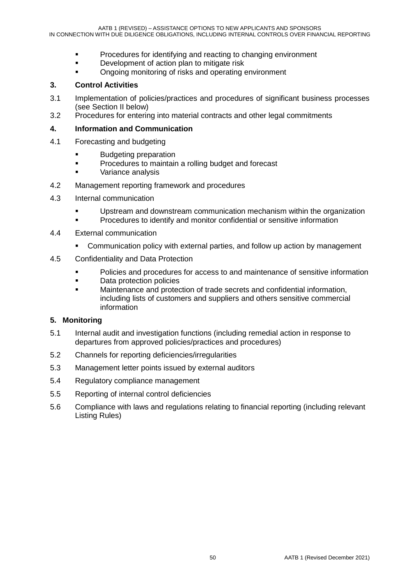- **Procedures for identifying and reacting to changing environment**
- Development of action plan to mitigate risk
- **•** Ongoing monitoring of risks and operating environment

#### **3. Control Activities**

- 3.1 Implementation of policies/practices and procedures of significant business processes (see Section II below)
- 3.2 Procedures for entering into material contracts and other legal commitments

#### **4. Information and Communication**

- 4.1 Forecasting and budgeting
	- **Budgeting preparation**
	- **Procedures to maintain a rolling budget and forecast**
	- Variance analysis
- 4.2 Management reporting framework and procedures
- 4.3 Internal communication
	- Upstream and downstream communication mechanism within the organization
	- Procedures to identify and monitor confidential or sensitive information
- 4.4 External communication
	- Communication policy with external parties, and follow up action by management
- 4.5 Confidentiality and Data Protection
	- Policies and procedures for access to and maintenance of sensitive information
	- **Data protection policies**
	- Maintenance and protection of trade secrets and confidential information, including lists of customers and suppliers and others sensitive commercial information

#### **5. Monitoring**

- 5.1 Internal audit and investigation functions (including remedial action in response to departures from approved policies/practices and procedures)
- 5.2 Channels for reporting deficiencies/irregularities
- 5.3 Management letter points issued by external auditors
- 5.4 Regulatory compliance management
- 5.5 Reporting of internal control deficiencies
- 5.6 Compliance with laws and regulations relating to financial reporting (including relevant Listing Rules)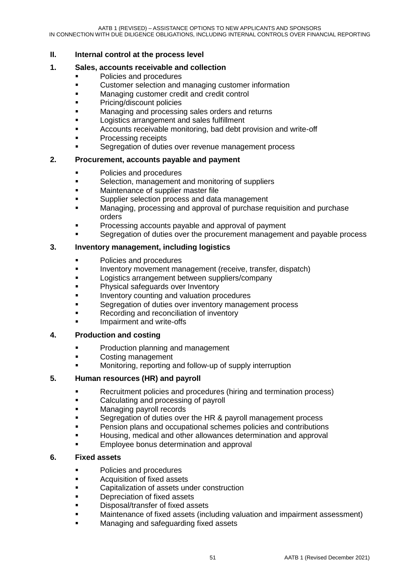#### **II. Internal control at the process level**

#### **1. Sales, accounts receivable and collection**

- **Policies and procedures**
- **EXECUSTOMER CUSTOMER SEARCH CUSTOMER SEARCH CUSTOMER CUSTOMER CUSTOMER CONTENT**
- **Managing customer credit and credit control**
- **Pricing/discount policies**
- Managing and processing sales orders and returns
- Logistics arrangement and sales fulfillment
- Accounts receivable monitoring, bad debt provision and write-off
- Processing receipts
- Segregation of duties over revenue management process

#### **2. Procurement, accounts payable and payment**

- **•** Policies and procedures
- **EXECTE SELECTION, management and monitoring of suppliers**
- **Maintenance of supplier master file**
- Supplier selection process and data management
- Managing, processing and approval of purchase requisition and purchase orders
- Processing accounts payable and approval of payment
- Segregation of duties over the procurement management and payable process

#### **3. Inventory management, including logistics**

- **Policies and procedures**
- **Inventory movement management (receive, transfer, dispatch)**
- **Logistics arrangement between suppliers/company**
- Physical safeguards over Inventory
- Inventory counting and valuation procedures
- Segregation of duties over inventory management process
- Recording and reconciliation of inventory
- Impairment and write-offs

#### **4. Production and costing**

- **Production planning and management**
- **Example 2** Costing management
- **EXECUTE:** Monitoring, reporting and follow-up of supply interruption

#### **5. Human resources (HR) and payroll**

- **Recruitment policies and procedures (hiring and termination process)**
- Calculating and processing of payroll
- **Managing payroll records**
- Segregation of duties over the HR & payroll management process
- Pension plans and occupational schemes policies and contributions
- Housing, medical and other allowances determination and approval
- Employee bonus determination and approval

#### **6. Fixed assets**

- **•** Policies and procedures
- **EXECUTE:** Acquisition of fixed assets
- **EXEC** Capitalization of assets under construction
- Depreciation of fixed assets
- Disposal/transfer of fixed assets
- Maintenance of fixed assets (including valuation and impairment assessment)
- Managing and safeguarding fixed assets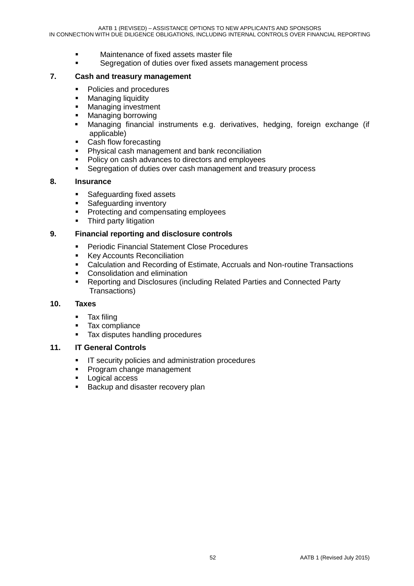- Maintenance of fixed assets master file
- Segregation of duties over fixed assets management process

#### **7. Cash and treasury management**

- Policies and procedures
- **Managing liquidity**
- **Managing investment**
- **Managing borrowing**
- Managing financial instruments e.g. derivatives, hedging, foreign exchange (if applicable)
- Cash flow forecasting
- **Physical cash management and bank reconciliation**
- Policy on cash advances to directors and employees
- **Segregation of duties over cash management and treasury process**

#### **8. Insurance**

- **Safeguarding fixed assets**
- Safeguarding inventory
- **•** Protecting and compensating employees
- Third party litigation

#### **9. Financial reporting and disclosure controls**

- **Periodic Financial Statement Close Procedures**
- **Key Accounts Reconciliation**
- Calculation and Recording of Estimate, Accruals and Non-routine Transactions
- **•** Consolidation and elimination
- Reporting and Disclosures (including Related Parties and Connected Party Transactions)

#### **10. Taxes**

- Tax filing
- **Tax compliance**
- Tax disputes handling procedures

#### **11. IT General Controls**

- **IF security policies and administration procedures**
- **Program change management**
- **Logical access**
- **Backup and disaster recovery plan**